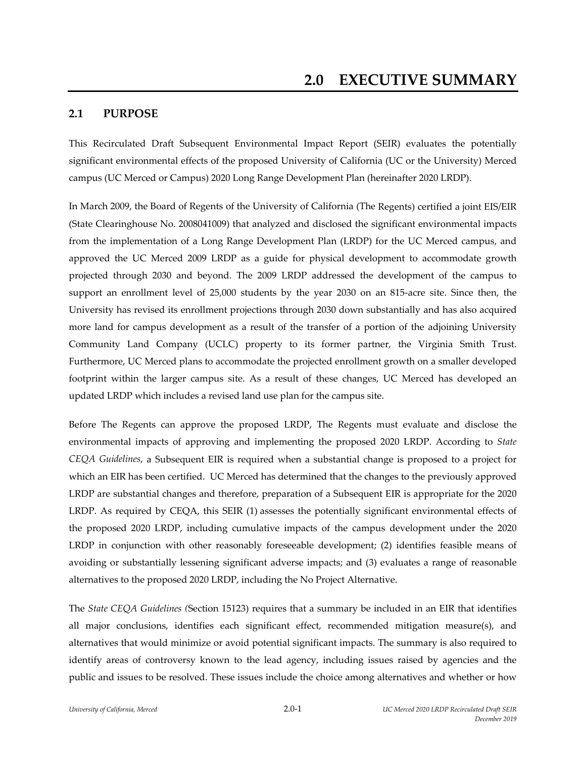### **2.1 PURPOSE**

This Recirculated Draft Subsequent Environmental Impact Report (SEIR) evaluates the potentially significant environmental effects of the proposed University of California (UC or the University) Merced campus (UC Merced or Campus) 2020 Long Range Development Plan (hereinafter 2020 LRDP).

In March 2009, the Board of Regents of the University of California (The Regents) certified a joint EIS/EIR (State Clearinghouse No. 2008041009) that analyzed and disclosed the significant environmental impacts from the implementation of a Long Range Development Plan (LRDP) for the UC Merced campus, and approved the UC Merced 2009 LRDP as a guide for physical development to accommodate growth projected through 2030 and beyond. The 2009 LRDP addressed the development of the campus to support an enrollment level of 25,000 students by the year 2030 on an 815-acre site. Since then, the University has revised its enrollment projections through 2030 down substantially and has also acquired more land for campus development as a result of the transfer of a portion of the adjoining University Community Land Company (UCLC) property to its former partner, the Virginia Smith Trust. Furthermore, UC Merced plans to accommodate the projected enrollment growth on a smaller developed footprint within the larger campus site. As a result of these changes, UC Merced has developed an updated LRDP which includes a revised land use plan for the campus site.

Before The Regents can approve the proposed LRDP, The Regents must evaluate and disclose the environmental impacts of approving and implementing the proposed 2020 LRDP. According to *State CEQA Guidelines*, a Subsequent EIR is required when a substantial change is proposed to a project for which an EIR has been certified. UC Merced has determined that the changes to the previously approved LRDP are substantial changes and therefore, preparation of a Subsequent EIR is appropriate for the 2020 LRDP. As required by CEQA, this SEIR (1) assesses the potentially significant environmental effects of the proposed 2020 LRDP, including cumulative impacts of the campus development under the 2020 LRDP in conjunction with other reasonably foreseeable development; (2) identifies feasible means of avoiding or substantially lessening significant adverse impacts; and (3) evaluates a range of reasonable alternatives to the proposed 2020 LRDP, including the No Project Alternative.

The *State CEQA Guidelines (*Section 15123) requires that a summary be included in an EIR that identifies all major conclusions, identifies each significant effect, recommended mitigation measure(s), and alternatives that would minimize or avoid potential significant impacts. The summary is also required to identify areas of controversy known to the lead agency, including issues raised by agencies and the public and issues to be resolved. These issues include the choice among alternatives and whether or how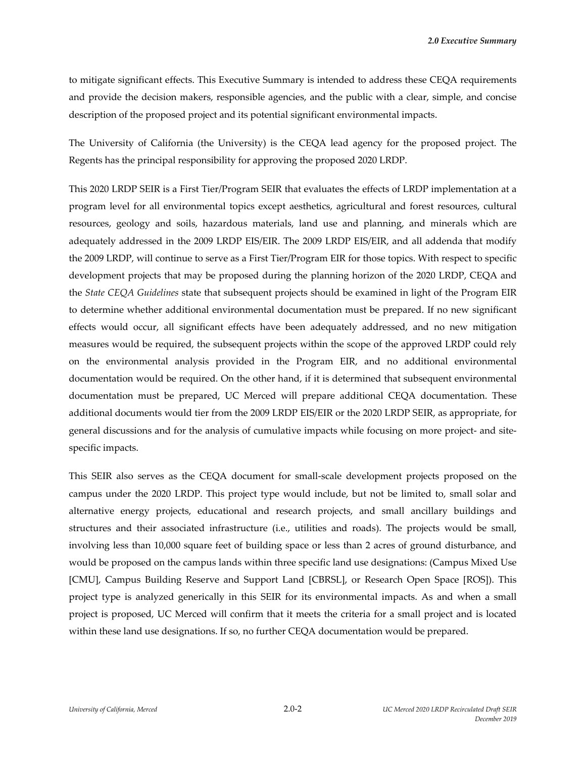*2.0 Executive Summary*

to mitigate significant effects. This Executive Summary is intended to address these CEQA requirements and provide the decision makers, responsible agencies, and the public with a clear, simple, and concise description of the proposed project and its potential significant environmental impacts.

The University of California (the University) is the CEQA lead agency for the proposed project. The Regents has the principal responsibility for approving the proposed 2020 LRDP.

This 2020 LRDP SEIR is a First Tier/Program SEIR that evaluates the effects of LRDP implementation at a program level for all environmental topics except aesthetics, agricultural and forest resources, cultural resources, geology and soils, hazardous materials, land use and planning, and minerals which are adequately addressed in the 2009 LRDP EIS/EIR. The 2009 LRDP EIS/EIR, and all addenda that modify the 2009 LRDP, will continue to serve as a First Tier/Program EIR for those topics. With respect to specific development projects that may be proposed during the planning horizon of the 2020 LRDP, CEQA and the *State CEQA Guidelines* state that subsequent projects should be examined in light of the Program EIR to determine whether additional environmental documentation must be prepared. If no new significant effects would occur, all significant effects have been adequately addressed, and no new mitigation measures would be required, the subsequent projects within the scope of the approved LRDP could rely on the environmental analysis provided in the Program EIR, and no additional environmental documentation would be required. On the other hand, if it is determined that subsequent environmental documentation must be prepared, UC Merced will prepare additional CEQA documentation. These additional documents would tier from the 2009 LRDP EIS/EIR or the 2020 LRDP SEIR, as appropriate, for general discussions and for the analysis of cumulative impacts while focusing on more project- and sitespecific impacts.

This SEIR also serves as the CEQA document for small‐scale development projects proposed on the campus under the 2020 LRDP. This project type would include, but not be limited to, small solar and alternative energy projects, educational and research projects, and small ancillary buildings and structures and their associated infrastructure (i.e., utilities and roads). The projects would be small, involving less than 10,000 square feet of building space or less than 2 acres of ground disturbance, and would be proposed on the campus lands within three specific land use designations: (Campus Mixed Use [CMU], Campus Building Reserve and Support Land [CBRSL], or Research Open Space [ROS]). This project type is analyzed generically in this SEIR for its environmental impacts. As and when a small project is proposed, UC Merced will confirm that it meets the criteria for a small project and is located within these land use designations. If so, no further CEQA documentation would be prepared.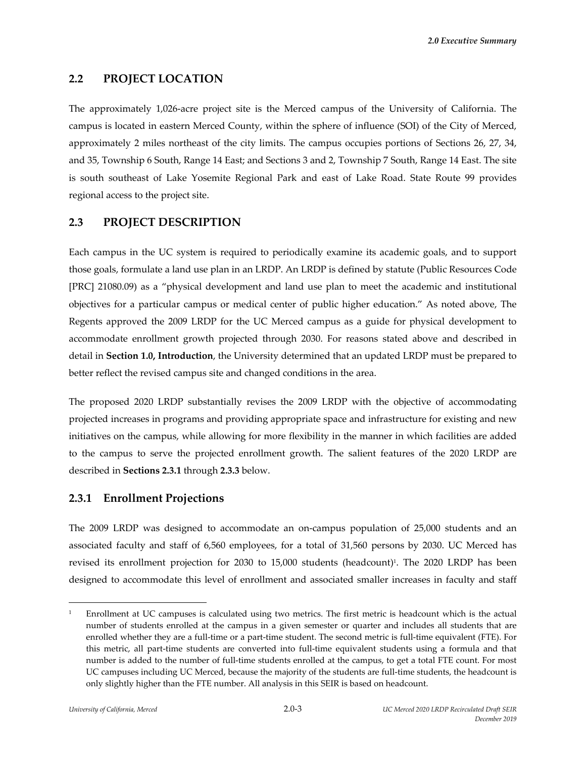*2.0 Executive Summary*

#### **2.2 PROJECT LOCATION**

The approximately 1,026‐acre project site is the Merced campus of the University of California. The campus is located in eastern Merced County, within the sphere of influence (SOI) of the City of Merced, approximately 2 miles northeast of the city limits. The campus occupies portions of Sections 26, 27, 34, and 35, Township 6 South, Range 14 East; and Sections 3 and 2, Township 7 South, Range 14 East. The site is south southeast of Lake Yosemite Regional Park and east of Lake Road. State Route 99 provides regional access to the project site.

#### **2.3 PROJECT DESCRIPTION**

Each campus in the UC system is required to periodically examine its academic goals, and to support those goals, formulate a land use plan in an LRDP. An LRDP is defined by statute (Public Resources Code [PRC] 21080.09) as a "physical development and land use plan to meet the academic and institutional objectives for a particular campus or medical center of public higher education." As noted above, The Regents approved the 2009 LRDP for the UC Merced campus as a guide for physical development to accommodate enrollment growth projected through 2030. For reasons stated above and described in detail in **Section 1.0, Introduction**, the University determined that an updated LRDP must be prepared to better reflect the revised campus site and changed conditions in the area.

The proposed 2020 LRDP substantially revises the 2009 LRDP with the objective of accommodating projected increases in programs and providing appropriate space and infrastructure for existing and new initiatives on the campus, while allowing for more flexibility in the manner in which facilities are added to the campus to serve the projected enrollment growth. The salient features of the 2020 LRDP are described in **Sections 2.3.1** through **2.3.3** below.

### **2.3.1 Enrollment Projections**

The 2009 LRDP was designed to accommodate an on-campus population of 25,000 students and an associated faculty and staff of 6,560 employees, for a total of 31,560 persons by 2030. UC Merced has revised its enrollment projection for 2030 to 15,000 students (headcount)<sup>1</sup>. The 2020 LRDP has been designed to accommodate this level of enrollment and associated smaller increases in faculty and staff

<sup>1</sup> Enrollment at UC campuses is calculated using two metrics. The first metric is headcount which is the actual number of students enrolled at the campus in a given semester or quarter and includes all students that are enrolled whether they are a full-time or a part-time student. The second metric is full-time equivalent (FTE). For this metric, all part‐time students are converted into full‐time equivalent students using a formula and that number is added to the number of full-time students enrolled at the campus, to get a total FTE count. For most UC campuses including UC Merced, because the majority of the students are full‐time students, the headcount is only slightly higher than the FTE number. All analysis in this SEIR is based on headcount.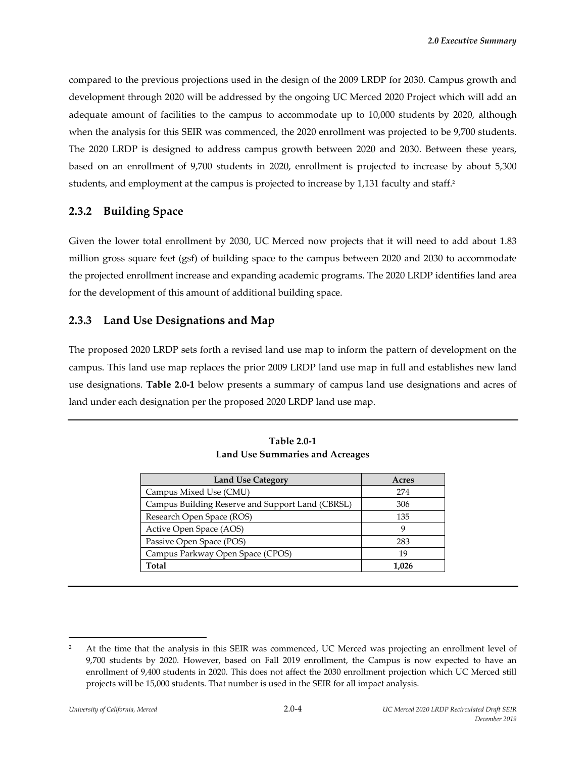compared to the previous projections used in the design of the 2009 LRDP for 2030. Campus growth and development through 2020 will be addressed by the ongoing UC Merced 2020 Project which will add an adequate amount of facilities to the campus to accommodate up to 10,000 students by 2020, although when the analysis for this SEIR was commenced, the 2020 enrollment was projected to be 9,700 students. The 2020 LRDP is designed to address campus growth between 2020 and 2030. Between these years, based on an enrollment of 9,700 students in 2020, enrollment is projected to increase by about 5,300 students, and employment at the campus is projected to increase by 1,131 faculty and staff.<sup>2</sup>

# **2.3.2 Building Space**

Given the lower total enrollment by 2030, UC Merced now projects that it will need to add about 1.83 million gross square feet (gsf) of building space to the campus between 2020 and 2030 to accommodate the projected enrollment increase and expanding academic programs. The 2020 LRDP identifies land area for the development of this amount of additional building space.

# **2.3.3 Land Use Designations and Map**

The proposed 2020 LRDP sets forth a revised land use map to inform the pattern of development on the campus. This land use map replaces the prior 2009 LRDP land use map in full and establishes new land use designations. **Table 2.0‐1** below presents a summary of campus land use designations and acres of land under each designation per the proposed 2020 LRDP land use map.

| <b>Land Use Category</b>                         | Acres |
|--------------------------------------------------|-------|
| Campus Mixed Use (CMU)                           | 274   |
| Campus Building Reserve and Support Land (CBRSL) | 306   |
| Research Open Space (ROS)                        | 135   |
| Active Open Space (AOS)                          | 9     |
| Passive Open Space (POS)                         | 283   |
| Campus Parkway Open Space (CPOS)                 | 19    |
| Total                                            | 1.026 |

**Table 2.0‐1 Land Use Summaries and Acreages**

<u> 1989 - Johann Barn, mars eta bainar eta industrial eta bainar eta baina eta baina eta baina eta baina eta ba</u>

<sup>&</sup>lt;sup>2</sup> At the time that the analysis in this SEIR was commenced, UC Merced was projecting an enrollment level of 9,700 students by 2020. However, based on Fall 2019 enrollment, the Campus is now expected to have an enrollment of 9,400 students in 2020. This does not affect the 2030 enrollment projection which UC Merced still projects will be 15,000 students. That number is used in the SEIR for all impact analysis.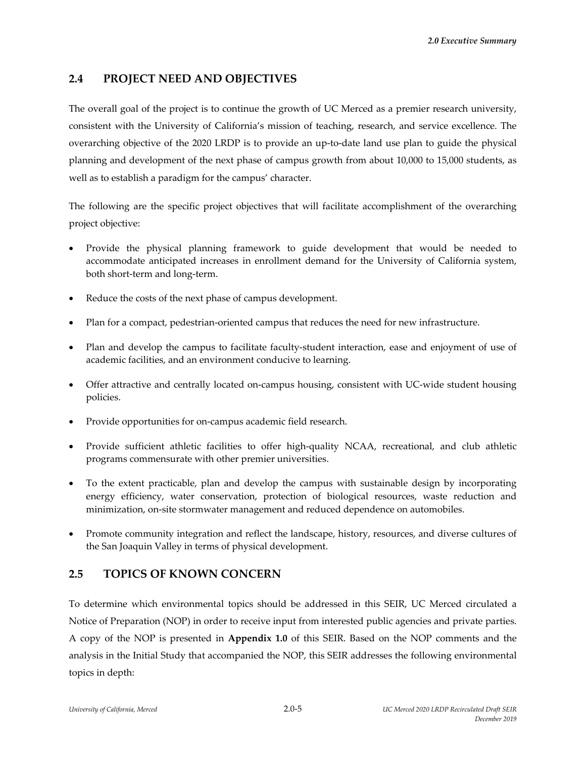# **2.4 PROJECT NEED AND OBJECTIVES**

The overall goal of the project is to continue the growth of UC Merced as a premier research university, consistent with the University of California's mission of teaching, research, and service excellence. The overarching objective of the 2020 LRDP is to provide an up‐to‐date land use plan to guide the physical planning and development of the next phase of campus growth from about 10,000 to 15,000 students, as well as to establish a paradigm for the campus' character.

The following are the specific project objectives that will facilitate accomplishment of the overarching project objective:

- Provide the physical planning framework to guide development that would be needed to accommodate anticipated increases in enrollment demand for the University of California system, both short‐term and long‐term.
- Reduce the costs of the next phase of campus development.
- Plan for a compact, pedestrian-oriented campus that reduces the need for new infrastructure.
- Plan and develop the campus to facilitate faculty-student interaction, ease and enjoyment of use of academic facilities, and an environment conducive to learning.
- Offer attractive and centrally located on-campus housing, consistent with UC-wide student housing policies.
- Provide opportunities for on‐campus academic field research.
- Provide sufficient athletic facilities to offer high-quality NCAA, recreational, and club athletic programs commensurate with other premier universities.
- To the extent practicable, plan and develop the campus with sustainable design by incorporating energy efficiency, water conservation, protection of biological resources, waste reduction and minimization, on‐site stormwater management and reduced dependence on automobiles.
- Promote community integration and reflect the landscape, history, resources, and diverse cultures of the San Joaquin Valley in terms of physical development.

# **2.5 TOPICS OF KNOWN CONCERN**

To determine which environmental topics should be addressed in this SEIR, UC Merced circulated a Notice of Preparation (NOP) in order to receive input from interested public agencies and private parties. A copy of the NOP is presented in **Appendix 1.0** of this SEIR. Based on the NOP comments and the analysis in the Initial Study that accompanied the NOP, this SEIR addresses the following environmental topics in depth: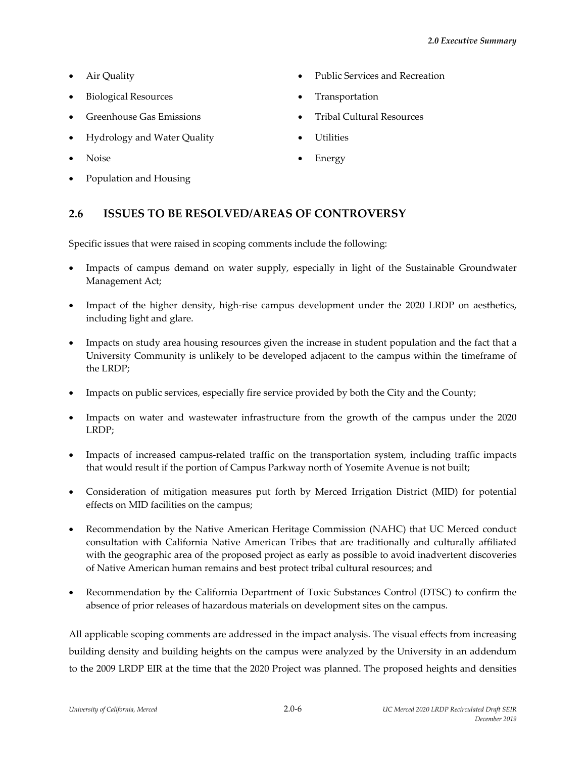- 
- Biological Resources **Transportation**
- 
- Hydrology and Water Quality **Canadian Control** Utilities
- 
- Population and Housing
- Air Quality Public Services and Recreation
	-
- Greenhouse Gas Emissions **State Accord Culture** Tribal Cultural Resources
	-
- Noise **Energy**

# **2.6 ISSUES TO BE RESOLVED/AREAS OF CONTROVERSY**

Specific issues that were raised in scoping comments include the following:

- Impacts of campus demand on water supply, especially in light of the Sustainable Groundwater Management Act;
- Impact of the higher density, high‐rise campus development under the 2020 LRDP on aesthetics, including light and glare.
- Impacts on study area housing resources given the increase in student population and the fact that a University Community is unlikely to be developed adjacent to the campus within the timeframe of the LRDP;
- Impacts on public services, especially fire service provided by both the City and the County;
- Impacts on water and wastewater infrastructure from the growth of the campus under the 2020 LRDP;
- Impacts of increased campus‐related traffic on the transportation system, including traffic impacts that would result if the portion of Campus Parkway north of Yosemite Avenue is not built;
- Consideration of mitigation measures put forth by Merced Irrigation District (MID) for potential effects on MID facilities on the campus;
- Recommendation by the Native American Heritage Commission (NAHC) that UC Merced conduct consultation with California Native American Tribes that are traditionally and culturally affiliated with the geographic area of the proposed project as early as possible to avoid inadvertent discoveries of Native American human remains and best protect tribal cultural resources; and
- Recommendation by the California Department of Toxic Substances Control (DTSC) to confirm the absence of prior releases of hazardous materials on development sites on the campus.

All applicable scoping comments are addressed in the impact analysis. The visual effects from increasing building density and building heights on the campus were analyzed by the University in an addendum to the 2009 LRDP EIR at the time that the 2020 Project was planned. The proposed heights and densities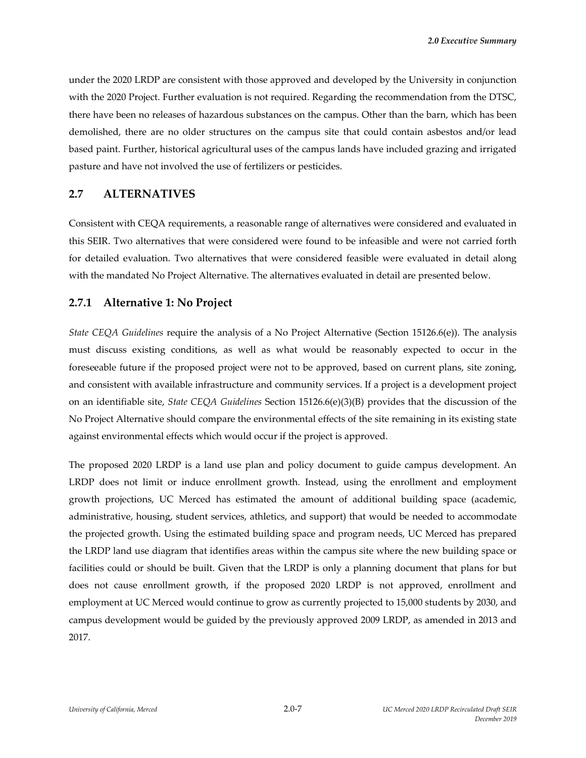under the 2020 LRDP are consistent with those approved and developed by the University in conjunction with the 2020 Project. Further evaluation is not required. Regarding the recommendation from the DTSC, there have been no releases of hazardous substances on the campus. Other than the barn, which has been demolished, there are no older structures on the campus site that could contain asbestos and/or lead based paint. Further, historical agricultural uses of the campus lands have included grazing and irrigated pasture and have not involved the use of fertilizers or pesticides.

#### **2.7 ALTERNATIVES**

Consistent with CEQA requirements, a reasonable range of alternatives were considered and evaluated in this SEIR. Two alternatives that were considered were found to be infeasible and were not carried forth for detailed evaluation. Two alternatives that were considered feasible were evaluated in detail along with the mandated No Project Alternative. The alternatives evaluated in detail are presented below.

#### **2.7.1 Alternative 1: No Project**

*State CEQA Guidelines* require the analysis of a No Project Alternative (Section 15126.6(e)). The analysis must discuss existing conditions, as well as what would be reasonably expected to occur in the foreseeable future if the proposed project were not to be approved, based on current plans, site zoning, and consistent with available infrastructure and community services. If a project is a development project on an identifiable site, *State CEQA Guidelines* Section 15126.6(e)(3)(B) provides that the discussion of the No Project Alternative should compare the environmental effects of the site remaining in its existing state against environmental effects which would occur if the project is approved.

The proposed 2020 LRDP is a land use plan and policy document to guide campus development. An LRDP does not limit or induce enrollment growth. Instead, using the enrollment and employment growth projections, UC Merced has estimated the amount of additional building space (academic, administrative, housing, student services, athletics, and support) that would be needed to accommodate the projected growth. Using the estimated building space and program needs, UC Merced has prepared the LRDP land use diagram that identifies areas within the campus site where the new building space or facilities could or should be built. Given that the LRDP is only a planning document that plans for but does not cause enrollment growth, if the proposed 2020 LRDP is not approved, enrollment and employment at UC Merced would continue to grow as currently projected to 15,000 students by 2030, and campus development would be guided by the previously approved 2009 LRDP, as amended in 2013 and 2017.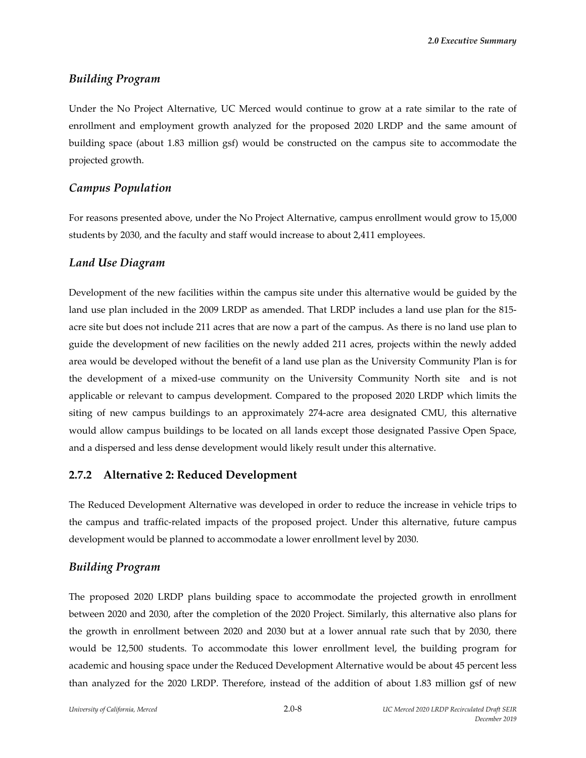*2.0 Executive Summary*

#### *Building Program*

Under the No Project Alternative, UC Merced would continue to grow at a rate similar to the rate of enrollment and employment growth analyzed for the proposed 2020 LRDP and the same amount of building space (about 1.83 million gsf) would be constructed on the campus site to accommodate the projected growth.

#### *Campus Population*

For reasons presented above, under the No Project Alternative, campus enrollment would grow to 15,000 students by 2030, and the faculty and staff would increase to about 2,411 employees.

#### *Land Use Diagram*

Development of the new facilities within the campus site under this alternative would be guided by the land use plan included in the 2009 LRDP as amended. That LRDP includes a land use plan for the 815‐ acre site but does not include 211 acres that are now a part of the campus. As there is no land use plan to guide the development of new facilities on the newly added 211 acres, projects within the newly added area would be developed without the benefit of a land use plan as the University Community Plan is for the development of a mixed-use community on the University Community North site and is not applicable or relevant to campus development. Compared to the proposed 2020 LRDP which limits the siting of new campus buildings to an approximately 274-acre area designated CMU, this alternative would allow campus buildings to be located on all lands except those designated Passive Open Space, and a dispersed and less dense development would likely result under this alternative.

#### **2.7.2 Alternative 2: Reduced Development**

The Reduced Development Alternative was developed in order to reduce the increase in vehicle trips to the campus and traffic‐related impacts of the proposed project. Under this alternative, future campus development would be planned to accommodate a lower enrollment level by 2030.

#### *Building Program*

The proposed 2020 LRDP plans building space to accommodate the projected growth in enrollment between 2020 and 2030, after the completion of the 2020 Project. Similarly, this alternative also plans for the growth in enrollment between 2020 and 2030 but at a lower annual rate such that by 2030, there would be 12,500 students. To accommodate this lower enrollment level, the building program for academic and housing space under the Reduced Development Alternative would be about 45 percent less than analyzed for the 2020 LRDP. Therefore, instead of the addition of about 1.83 million gsf of new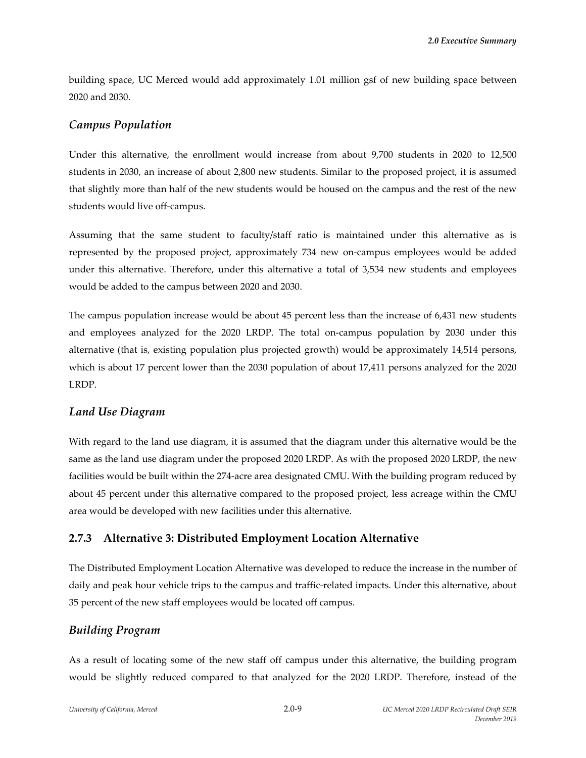building space, UC Merced would add approximately 1.01 million gsf of new building space between 2020 and 2030.

### *Campus Population*

Under this alternative, the enrollment would increase from about 9,700 students in 2020 to 12,500 students in 2030, an increase of about 2,800 new students. Similar to the proposed project, it is assumed that slightly more than half of the new students would be housed on the campus and the rest of the new students would live off‐campus.

Assuming that the same student to faculty/staff ratio is maintained under this alternative as is represented by the proposed project, approximately 734 new on‐campus employees would be added under this alternative. Therefore, under this alternative a total of 3,534 new students and employees would be added to the campus between 2020 and 2030.

The campus population increase would be about 45 percent less than the increase of 6,431 new students and employees analyzed for the 2020 LRDP. The total on‐campus population by 2030 under this alternative (that is, existing population plus projected growth) would be approximately 14,514 persons, which is about 17 percent lower than the 2030 population of about 17,411 persons analyzed for the 2020 LRDP.

# *Land Use Diagram*

With regard to the land use diagram, it is assumed that the diagram under this alternative would be the same as the land use diagram under the proposed 2020 LRDP. As with the proposed 2020 LRDP, the new facilities would be built within the 274‐acre area designated CMU. With the building program reduced by about 45 percent under this alternative compared to the proposed project, less acreage within the CMU area would be developed with new facilities under this alternative.

### **2.7.3 Alternative 3: Distributed Employment Location Alternative**

The Distributed Employment Location Alternative was developed to reduce the increase in the number of daily and peak hour vehicle trips to the campus and traffic-related impacts. Under this alternative, about 35 percent of the new staff employees would be located off campus.

### *Building Program*

As a result of locating some of the new staff off campus under this alternative, the building program would be slightly reduced compared to that analyzed for the 2020 LRDP. Therefore, instead of the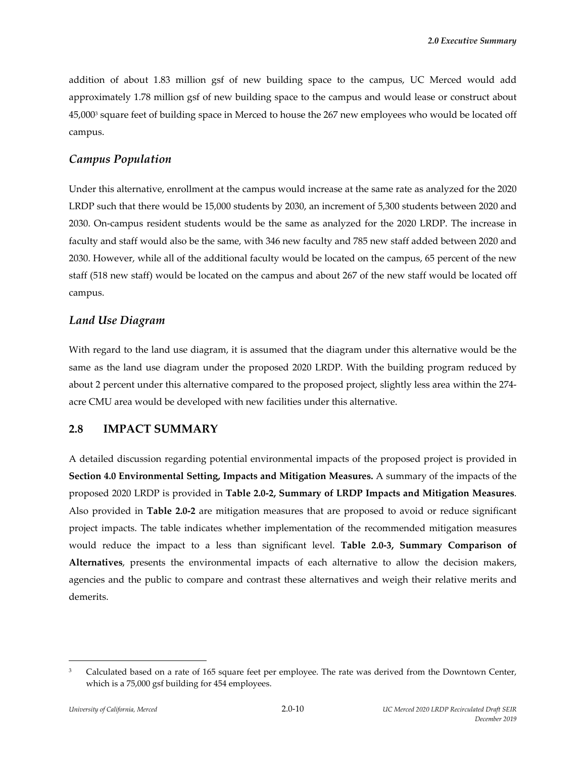addition of about 1.83 million gsf of new building space to the campus, UC Merced would add approximately 1.78 million gsf of new building space to the campus and would lease or construct about 45,0003 square feet of building space in Merced to house the 267 new employees who would be located off campus.

### *Campus Population*

Under this alternative, enrollment at the campus would increase at the same rate as analyzed for the 2020 LRDP such that there would be 15,000 students by 2030, an increment of 5,300 students between 2020 and 2030. On-campus resident students would be the same as analyzed for the 2020 LRDP. The increase in faculty and staff would also be the same, with 346 new faculty and 785 new staff added between 2020 and 2030. However, while all of the additional faculty would be located on the campus, 65 percent of the new staff (518 new staff) would be located on the campus and about 267 of the new staff would be located off campus.

# *Land Use Diagram*

With regard to the land use diagram, it is assumed that the diagram under this alternative would be the same as the land use diagram under the proposed 2020 LRDP. With the building program reduced by about 2 percent under this alternative compared to the proposed project, slightly less area within the 274‐ acre CMU area would be developed with new facilities under this alternative.

# **2.8 IMPACT SUMMARY**

A detailed discussion regarding potential environmental impacts of the proposed project is provided in **Section 4.0 Environmental Setting, Impacts and Mitigation Measures.** A summary of the impacts of the proposed 2020 LRDP is provided in **Table 2.0‐2, Summary of LRDP Impacts and Mitigation Measures**. Also provided in **Table 2.0‐2** are mitigation measures that are proposed to avoid or reduce significant project impacts. The table indicates whether implementation of the recommended mitigation measures would reduce the impact to a less than significant level. **Table 2.0‐3, Summary Comparison of Alternatives**, presents the environmental impacts of each alternative to allow the decision makers, agencies and the public to compare and contrast these alternatives and weigh their relative merits and demerits.

<sup>&</sup>lt;sup>3</sup> Calculated based on a rate of 165 square feet per employee. The rate was derived from the Downtown Center, which is a 75,000 gsf building for 454 employees.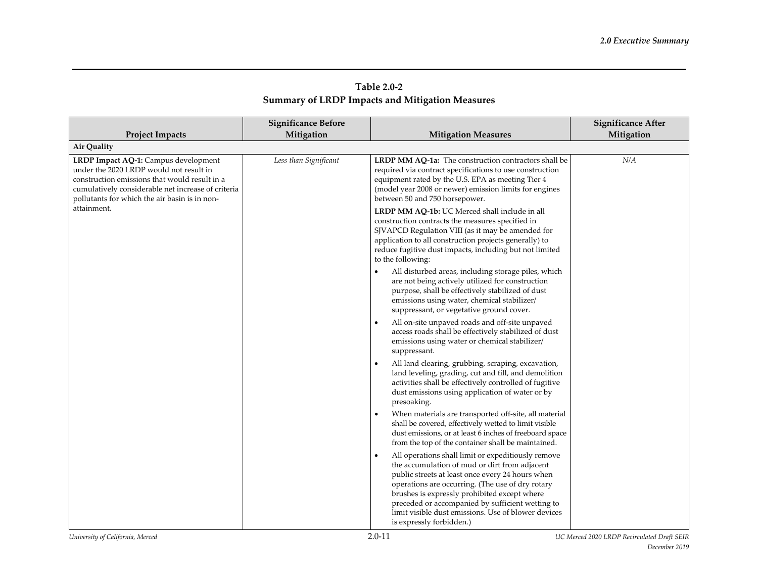|                                                                                                                                                                                                                                         | <b>Significance Before</b> |                                                                                                                                                                                                                                                                                                                                                                                                    | <b>Significance After</b> |
|-----------------------------------------------------------------------------------------------------------------------------------------------------------------------------------------------------------------------------------------|----------------------------|----------------------------------------------------------------------------------------------------------------------------------------------------------------------------------------------------------------------------------------------------------------------------------------------------------------------------------------------------------------------------------------------------|---------------------------|
| <b>Project Impacts</b>                                                                                                                                                                                                                  | Mitigation                 | <b>Mitigation Measures</b>                                                                                                                                                                                                                                                                                                                                                                         | Mitigation                |
| Air Quality                                                                                                                                                                                                                             |                            |                                                                                                                                                                                                                                                                                                                                                                                                    |                           |
| LRDP Impact AQ-1: Campus development<br>under the 2020 LRDP would not result in<br>construction emissions that would result in a<br>cumulatively considerable net increase of criteria<br>pollutants for which the air basin is in non- | Less than Significant      | LRDP MM AQ-1a: The construction contractors shall be<br>required via contract specifications to use construction<br>equipment rated by the U.S. EPA as meeting Tier 4<br>(model year 2008 or newer) emission limits for engines<br>between 50 and 750 horsepower.                                                                                                                                  | N/A                       |
| attainment.                                                                                                                                                                                                                             |                            | LRDP MM AQ-1b: UC Merced shall include in all<br>construction contracts the measures specified in<br>SJVAPCD Regulation VIII (as it may be amended for<br>application to all construction projects generally) to<br>reduce fugitive dust impacts, including but not limited<br>to the following:                                                                                                   |                           |
|                                                                                                                                                                                                                                         |                            | All disturbed areas, including storage piles, which<br>are not being actively utilized for construction<br>purpose, shall be effectively stabilized of dust<br>emissions using water, chemical stabilizer/<br>suppressant, or vegetative ground cover.                                                                                                                                             |                           |
|                                                                                                                                                                                                                                         |                            | All on-site unpaved roads and off-site unpaved<br>access roads shall be effectively stabilized of dust<br>emissions using water or chemical stabilizer/<br>suppressant.                                                                                                                                                                                                                            |                           |
|                                                                                                                                                                                                                                         |                            | All land clearing, grubbing, scraping, excavation,<br>land leveling, grading, cut and fill, and demolition<br>activities shall be effectively controlled of fugitive<br>dust emissions using application of water or by<br>presoaking.                                                                                                                                                             |                           |
|                                                                                                                                                                                                                                         |                            | When materials are transported off-site, all material<br>٠<br>shall be covered, effectively wetted to limit visible<br>dust emissions, or at least 6 inches of freeboard space<br>from the top of the container shall be maintained.                                                                                                                                                               |                           |
|                                                                                                                                                                                                                                         |                            | All operations shall limit or expeditiously remove<br>the accumulation of mud or dirt from adjacent<br>public streets at least once every 24 hours when<br>operations are occurring. (The use of dry rotary<br>brushes is expressly prohibited except where<br>preceded or accompanied by sufficient wetting to<br>limit visible dust emissions. Use of blower devices<br>is expressly forbidden.) |                           |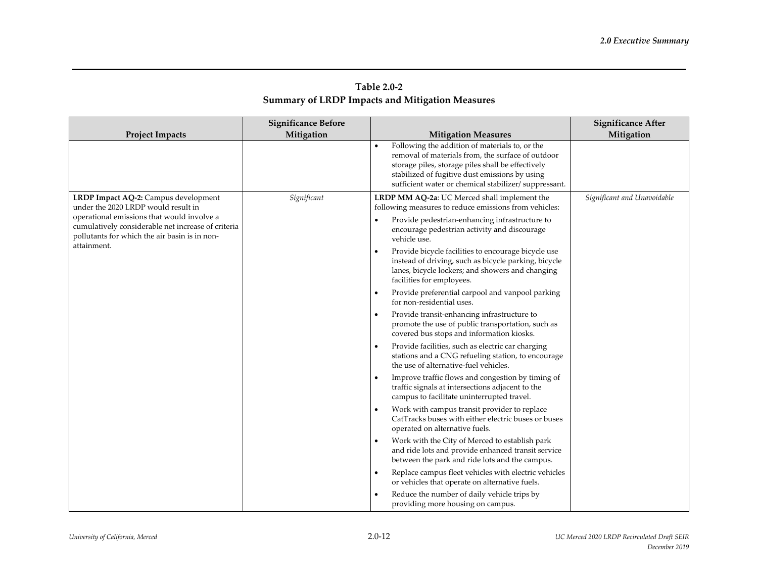| Table 2.0-2                                            |  |
|--------------------------------------------------------|--|
| <b>Summary of LRDP Impacts and Mitigation Measures</b> |  |

|                                                                                                                                                   | <b>Significance Before</b> |                                                                                                                                                                                                                                                                    | <b>Significance After</b>   |
|---------------------------------------------------------------------------------------------------------------------------------------------------|----------------------------|--------------------------------------------------------------------------------------------------------------------------------------------------------------------------------------------------------------------------------------------------------------------|-----------------------------|
| <b>Project Impacts</b>                                                                                                                            | Mitigation                 | <b>Mitigation Measures</b>                                                                                                                                                                                                                                         | Mitigation                  |
|                                                                                                                                                   |                            | Following the addition of materials to, or the<br>removal of materials from, the surface of outdoor<br>storage piles, storage piles shall be effectively<br>stabilized of fugitive dust emissions by using<br>sufficient water or chemical stabilizer/suppressant. |                             |
| LRDP Impact AQ-2: Campus development<br>under the 2020 LRDP would result in                                                                       | Significant                | LRDP MM AQ-2a: UC Merced shall implement the<br>following measures to reduce emissions from vehicles:                                                                                                                                                              | Significant and Unavoidable |
| operational emissions that would involve a<br>cumulatively considerable net increase of criteria<br>pollutants for which the air basin is in non- |                            | Provide pedestrian-enhancing infrastructure to<br>encourage pedestrian activity and discourage<br>vehicle use.                                                                                                                                                     |                             |
| attainment.                                                                                                                                       |                            | Provide bicycle facilities to encourage bicycle use<br>$\bullet$<br>instead of driving, such as bicycle parking, bicycle<br>lanes, bicycle lockers; and showers and changing<br>facilities for employees.                                                          |                             |
|                                                                                                                                                   |                            | Provide preferential carpool and vanpool parking<br>$\bullet$<br>for non-residential uses.                                                                                                                                                                         |                             |
|                                                                                                                                                   |                            | Provide transit-enhancing infrastructure to<br>$\bullet$<br>promote the use of public transportation, such as<br>covered bus stops and information kiosks.                                                                                                         |                             |
|                                                                                                                                                   |                            | Provide facilities, such as electric car charging<br>$\bullet$<br>stations and a CNG refueling station, to encourage<br>the use of alternative-fuel vehicles.                                                                                                      |                             |
|                                                                                                                                                   |                            | Improve traffic flows and congestion by timing of<br>traffic signals at intersections adjacent to the<br>campus to facilitate uninterrupted travel.                                                                                                                |                             |
|                                                                                                                                                   |                            | Work with campus transit provider to replace<br>$\bullet$<br>CatTracks buses with either electric buses or buses<br>operated on alternative fuels.                                                                                                                 |                             |
|                                                                                                                                                   |                            | Work with the City of Merced to establish park<br>$\bullet$<br>and ride lots and provide enhanced transit service<br>between the park and ride lots and the campus.                                                                                                |                             |
|                                                                                                                                                   |                            | Replace campus fleet vehicles with electric vehicles<br>$\bullet$<br>or vehicles that operate on alternative fuels.                                                                                                                                                |                             |
|                                                                                                                                                   |                            | Reduce the number of daily vehicle trips by<br>$\bullet$<br>providing more housing on campus.                                                                                                                                                                      |                             |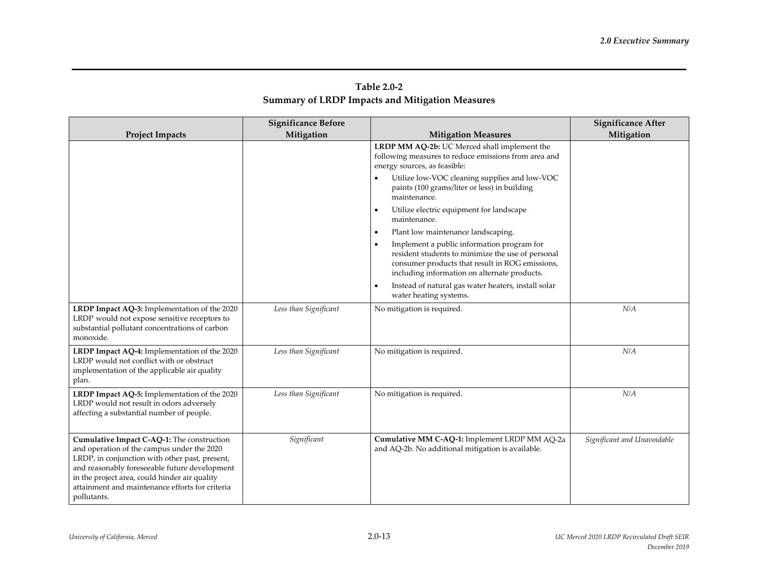| Table 2.0-2                                            |  |
|--------------------------------------------------------|--|
| <b>Summary of LRDP Impacts and Mitigation Measures</b> |  |

|                                                                                                                                                                                                                                                                                                                | <b>Significance Before</b> |                                                                                                                                                                                                                                                       | <b>Significance After</b>   |
|----------------------------------------------------------------------------------------------------------------------------------------------------------------------------------------------------------------------------------------------------------------------------------------------------------------|----------------------------|-------------------------------------------------------------------------------------------------------------------------------------------------------------------------------------------------------------------------------------------------------|-----------------------------|
| <b>Project Impacts</b>                                                                                                                                                                                                                                                                                         | Mitigation                 | <b>Mitigation Measures</b>                                                                                                                                                                                                                            | Mitigation                  |
|                                                                                                                                                                                                                                                                                                                |                            | LRDP MM AQ-2b: UC Merced shall implement the<br>following measures to reduce emissions from area and<br>energy sources, as feasible:<br>Utilize low-VOC cleaning supplies and low-VOC<br>paints (100 grams/liter or less) in building<br>maintenance. |                             |
|                                                                                                                                                                                                                                                                                                                |                            | Utilize electric equipment for landscape<br>maintenance.                                                                                                                                                                                              |                             |
|                                                                                                                                                                                                                                                                                                                |                            | Plant low maintenance landscaping.<br>$\bullet$                                                                                                                                                                                                       |                             |
|                                                                                                                                                                                                                                                                                                                |                            | Implement a public information program for<br>resident students to minimize the use of personal<br>consumer products that result in ROG emissions,<br>including information on alternate products.                                                    |                             |
|                                                                                                                                                                                                                                                                                                                |                            | Instead of natural gas water heaters, install solar<br>water heating systems.                                                                                                                                                                         |                             |
| LRDP Impact AQ-3: Implementation of the 2020<br>LRDP would not expose sensitive receptors to<br>substantial pollutant concentrations of carbon<br>monoxide.                                                                                                                                                    | Less than Significant      | No mitigation is required.                                                                                                                                                                                                                            | N/A                         |
| LRDP Impact AQ-4: Implementation of the 2020<br>LRDP would not conflict with or obstruct<br>implementation of the applicable air quality<br>plan.                                                                                                                                                              | Less than Significant      | No mitigation is required.                                                                                                                                                                                                                            | N/A                         |
| LRDP Impact AQ-5: Implementation of the 2020<br>LRDP would not result in odors adversely<br>affecting a substantial number of people.                                                                                                                                                                          | Less than Significant      | No mitigation is required.                                                                                                                                                                                                                            | N/A                         |
| Cumulative Impact C-AQ-1: The construction<br>and operation of the campus under the 2020<br>LRDP, in conjunction with other past, present,<br>and reasonably foreseeable future development<br>in the project area, could hinder air quality<br>attainment and maintenance efforts for criteria<br>pollutants. | Significant                | Cumulative MM C-AQ-1: Implement LRDP MM AQ-2a<br>and AQ-2b. No additional mitigation is available.                                                                                                                                                    | Significant and Unavoidable |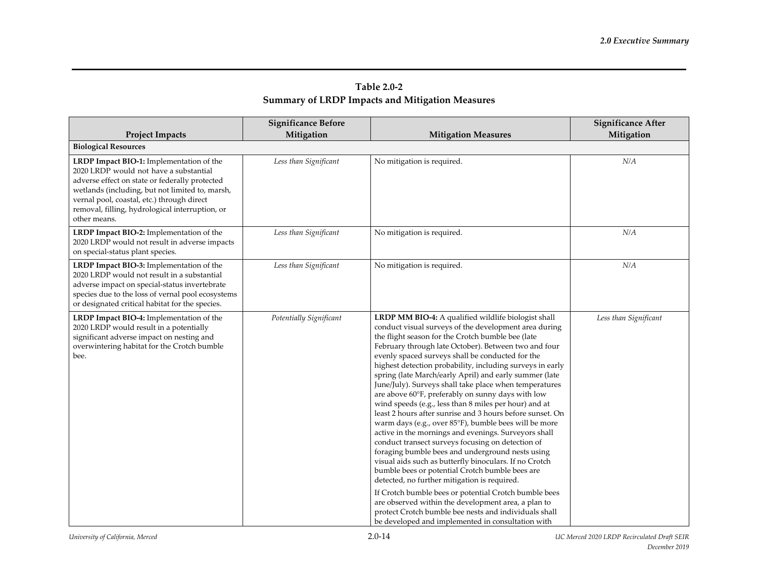|                                                                                                                                                                                                                                                                                                          | <b>Significance Before</b> |                                                                                                                                                                                                                                                                                                                                                                                                                                                                                                                                                                                                                                                                                                                                                                                                                                                                                                                                                                                                                                                                                                                                                                                                                                                                | <b>Significance After</b> |
|----------------------------------------------------------------------------------------------------------------------------------------------------------------------------------------------------------------------------------------------------------------------------------------------------------|----------------------------|----------------------------------------------------------------------------------------------------------------------------------------------------------------------------------------------------------------------------------------------------------------------------------------------------------------------------------------------------------------------------------------------------------------------------------------------------------------------------------------------------------------------------------------------------------------------------------------------------------------------------------------------------------------------------------------------------------------------------------------------------------------------------------------------------------------------------------------------------------------------------------------------------------------------------------------------------------------------------------------------------------------------------------------------------------------------------------------------------------------------------------------------------------------------------------------------------------------------------------------------------------------|---------------------------|
| <b>Project Impacts</b>                                                                                                                                                                                                                                                                                   | Mitigation                 | <b>Mitigation Measures</b>                                                                                                                                                                                                                                                                                                                                                                                                                                                                                                                                                                                                                                                                                                                                                                                                                                                                                                                                                                                                                                                                                                                                                                                                                                     | Mitigation                |
| <b>Biological Resources</b>                                                                                                                                                                                                                                                                              |                            |                                                                                                                                                                                                                                                                                                                                                                                                                                                                                                                                                                                                                                                                                                                                                                                                                                                                                                                                                                                                                                                                                                                                                                                                                                                                |                           |
| LRDP Impact BIO-1: Implementation of the<br>2020 LRDP would not have a substantial<br>adverse effect on state or federally protected<br>wetlands (including, but not limited to, marsh,<br>vernal pool, coastal, etc.) through direct<br>removal, filling, hydrological interruption, or<br>other means. | Less than Significant      | No mitigation is required.                                                                                                                                                                                                                                                                                                                                                                                                                                                                                                                                                                                                                                                                                                                                                                                                                                                                                                                                                                                                                                                                                                                                                                                                                                     | N/A                       |
| LRDP Impact BIO-2: Implementation of the<br>2020 LRDP would not result in adverse impacts<br>on special-status plant species.                                                                                                                                                                            | Less than Significant      | No mitigation is required.                                                                                                                                                                                                                                                                                                                                                                                                                                                                                                                                                                                                                                                                                                                                                                                                                                                                                                                                                                                                                                                                                                                                                                                                                                     | N/A                       |
| LRDP Impact BIO-3: Implementation of the<br>2020 LRDP would not result in a substantial<br>adverse impact on special-status invertebrate<br>species due to the loss of vernal pool ecosystems<br>or designated critical habitat for the species.                                                         | Less than Significant      | No mitigation is required.                                                                                                                                                                                                                                                                                                                                                                                                                                                                                                                                                                                                                                                                                                                                                                                                                                                                                                                                                                                                                                                                                                                                                                                                                                     | N/A                       |
| LRDP Impact BIO-4: Implementation of the<br>2020 LRDP would result in a potentially<br>significant adverse impact on nesting and<br>overwintering habitat for the Crotch bumble<br>bee.                                                                                                                  | Potentially Significant    | LRDP MM BIO-4: A qualified wildlife biologist shall<br>conduct visual surveys of the development area during<br>the flight season for the Crotch bumble bee (late<br>February through late October). Between two and four<br>evenly spaced surveys shall be conducted for the<br>highest detection probability, including surveys in early<br>spring (late March/early April) and early summer (late<br>June/July). Surveys shall take place when temperatures<br>are above 60°F, preferably on sunny days with low<br>wind speeds (e.g., less than 8 miles per hour) and at<br>least 2 hours after sunrise and 3 hours before sunset. On<br>warm days (e.g., over 85°F), bumble bees will be more<br>active in the mornings and evenings. Surveyors shall<br>conduct transect surveys focusing on detection of<br>foraging bumble bees and underground nests using<br>visual aids such as butterfly binoculars. If no Crotch<br>bumble bees or potential Crotch bumble bees are<br>detected, no further mitigation is required.<br>If Crotch bumble bees or potential Crotch bumble bees<br>are observed within the development area, a plan to<br>protect Crotch bumble bee nests and individuals shall<br>be developed and implemented in consultation with | Less than Significant     |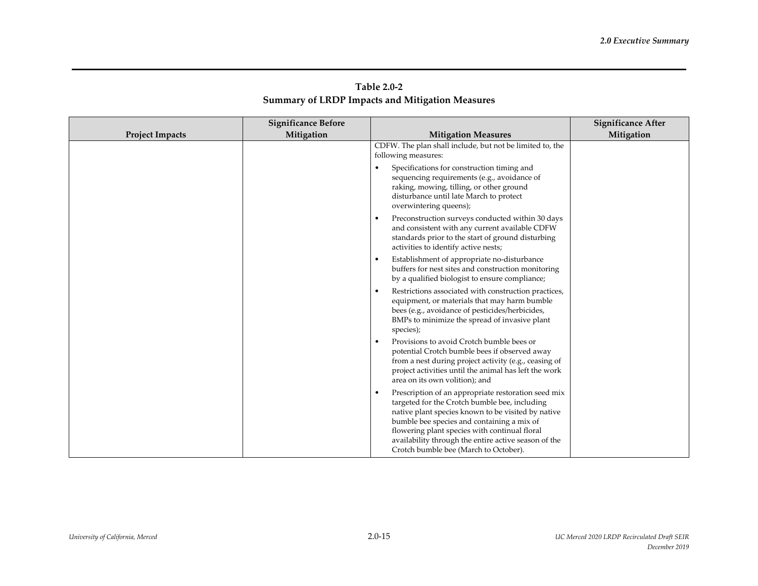| Table 2.0-2                                            |  |
|--------------------------------------------------------|--|
| <b>Summary of LRDP Impacts and Mitigation Measures</b> |  |

|                        | <b>Significance Before</b> |                                                                                                                                                                                                                                                                                                                                                                         | <b>Significance After</b> |
|------------------------|----------------------------|-------------------------------------------------------------------------------------------------------------------------------------------------------------------------------------------------------------------------------------------------------------------------------------------------------------------------------------------------------------------------|---------------------------|
| <b>Project Impacts</b> | Mitigation                 | <b>Mitigation Measures</b>                                                                                                                                                                                                                                                                                                                                              | Mitigation                |
|                        |                            | CDFW. The plan shall include, but not be limited to, the<br>following measures:<br>Specifications for construction timing and<br>sequencing requirements (e.g., avoidance of                                                                                                                                                                                            |                           |
|                        |                            | raking, mowing, tilling, or other ground<br>disturbance until late March to protect<br>overwintering queens);                                                                                                                                                                                                                                                           |                           |
|                        |                            | Preconstruction surveys conducted within 30 days<br>٠<br>and consistent with any current available CDFW<br>standards prior to the start of ground disturbing<br>activities to identify active nests;                                                                                                                                                                    |                           |
|                        |                            | Establishment of appropriate no-disturbance<br>$\bullet$<br>buffers for nest sites and construction monitoring<br>by a qualified biologist to ensure compliance;                                                                                                                                                                                                        |                           |
|                        |                            | Restrictions associated with construction practices,<br>$\bullet$<br>equipment, or materials that may harm bumble<br>bees (e.g., avoidance of pesticides/herbicides,<br>BMPs to minimize the spread of invasive plant<br>species);                                                                                                                                      |                           |
|                        |                            | Provisions to avoid Crotch bumble bees or<br>potential Crotch bumble bees if observed away<br>from a nest during project activity (e.g., ceasing of<br>project activities until the animal has left the work<br>area on its own volition); and                                                                                                                          |                           |
|                        |                            | Prescription of an appropriate restoration seed mix<br>$\bullet$<br>targeted for the Crotch bumble bee, including<br>native plant species known to be visited by native<br>bumble bee species and containing a mix of<br>flowering plant species with continual floral<br>availability through the entire active season of the<br>Crotch bumble bee (March to October). |                           |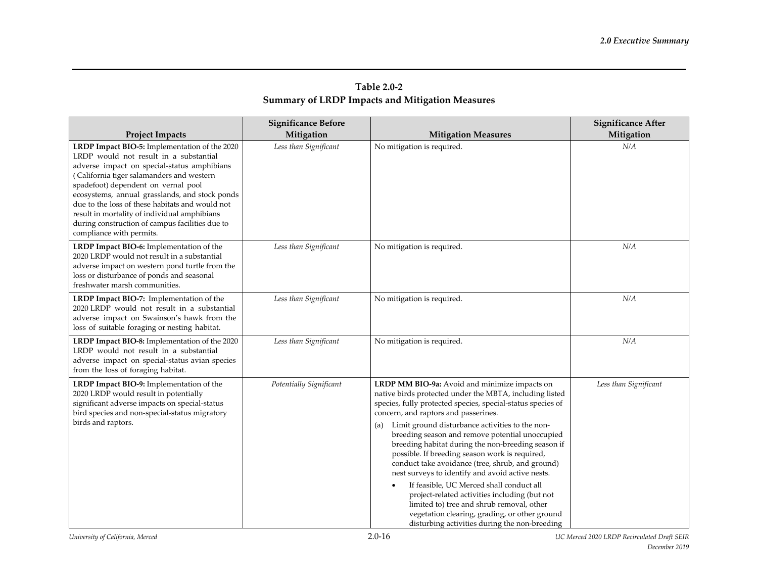|                                                                                                                                                                                                                                                                                                                                                                                                                                                                | <b>Significance Before</b> |                                                                                                                                                                                                                                                                                                                                                                                                                                                                                                                                                                                                                                                                                                                                                                                          | <b>Significance After</b> |
|----------------------------------------------------------------------------------------------------------------------------------------------------------------------------------------------------------------------------------------------------------------------------------------------------------------------------------------------------------------------------------------------------------------------------------------------------------------|----------------------------|------------------------------------------------------------------------------------------------------------------------------------------------------------------------------------------------------------------------------------------------------------------------------------------------------------------------------------------------------------------------------------------------------------------------------------------------------------------------------------------------------------------------------------------------------------------------------------------------------------------------------------------------------------------------------------------------------------------------------------------------------------------------------------------|---------------------------|
| <b>Project Impacts</b>                                                                                                                                                                                                                                                                                                                                                                                                                                         | Mitigation                 | <b>Mitigation Measures</b>                                                                                                                                                                                                                                                                                                                                                                                                                                                                                                                                                                                                                                                                                                                                                               | Mitigation                |
| LRDP Impact BIO-5: Implementation of the 2020<br>LRDP would not result in a substantial<br>adverse impact on special-status amphibians<br>(California tiger salamanders and western<br>spadefoot) dependent on vernal pool<br>ecosystems, annual grasslands, and stock ponds<br>due to the loss of these habitats and would not<br>result in mortality of individual amphibians<br>during construction of campus facilities due to<br>compliance with permits. | Less than Significant      | No mitigation is required.                                                                                                                                                                                                                                                                                                                                                                                                                                                                                                                                                                                                                                                                                                                                                               | N/A                       |
| LRDP Impact BIO-6: Implementation of the<br>2020 LRDP would not result in a substantial<br>adverse impact on western pond turtle from the<br>loss or disturbance of ponds and seasonal<br>freshwater marsh communities.                                                                                                                                                                                                                                        | Less than Significant      | No mitigation is required.                                                                                                                                                                                                                                                                                                                                                                                                                                                                                                                                                                                                                                                                                                                                                               | N/A                       |
| LRDP Impact BIO-7: Implementation of the<br>2020 LRDP would not result in a substantial<br>adverse impact on Swainson's hawk from the<br>loss of suitable foraging or nesting habitat.                                                                                                                                                                                                                                                                         | Less than Significant      | No mitigation is required.                                                                                                                                                                                                                                                                                                                                                                                                                                                                                                                                                                                                                                                                                                                                                               | N/A                       |
| LRDP Impact BIO-8: Implementation of the 2020<br>LRDP would not result in a substantial<br>adverse impact on special-status avian species<br>from the loss of foraging habitat.                                                                                                                                                                                                                                                                                | Less than Significant      | No mitigation is required.                                                                                                                                                                                                                                                                                                                                                                                                                                                                                                                                                                                                                                                                                                                                                               | N/A                       |
| LRDP Impact BIO-9: Implementation of the<br>2020 LRDP would result in potentially<br>significant adverse impacts on special-status<br>bird species and non-special-status migratory<br>birds and raptors.                                                                                                                                                                                                                                                      | Potentially Significant    | LRDP MM BIO-9a: Avoid and minimize impacts on<br>native birds protected under the MBTA, including listed<br>species, fully protected species, special-status species of<br>concern, and raptors and passerines.<br>Limit ground disturbance activities to the non-<br>(a)<br>breeding season and remove potential unoccupied<br>breeding habitat during the non-breeding season if<br>possible. If breeding season work is required,<br>conduct take avoidance (tree, shrub, and ground)<br>nest surveys to identify and avoid active nests.<br>If feasible, UC Merced shall conduct all<br>project-related activities including (but not<br>limited to) tree and shrub removal, other<br>vegetation clearing, grading, or other ground<br>disturbing activities during the non-breeding | Less than Significant     |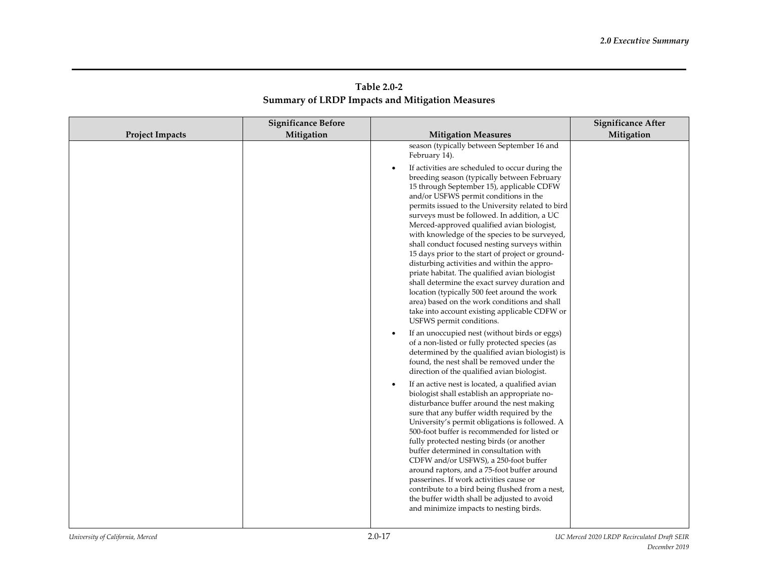| Table 2.0-2                                            |  |
|--------------------------------------------------------|--|
| <b>Summary of LRDP Impacts and Mitigation Measures</b> |  |

|                        | <b>Significance Before</b> |                                                                                                                                                                                                                                                                                                                                                                                                                                                                                                                                                                                                                                                                                                                                                                                                                                                                           | <b>Significance After</b> |
|------------------------|----------------------------|---------------------------------------------------------------------------------------------------------------------------------------------------------------------------------------------------------------------------------------------------------------------------------------------------------------------------------------------------------------------------------------------------------------------------------------------------------------------------------------------------------------------------------------------------------------------------------------------------------------------------------------------------------------------------------------------------------------------------------------------------------------------------------------------------------------------------------------------------------------------------|---------------------------|
| <b>Project Impacts</b> | Mitigation                 | <b>Mitigation Measures</b>                                                                                                                                                                                                                                                                                                                                                                                                                                                                                                                                                                                                                                                                                                                                                                                                                                                | Mitigation                |
|                        |                            | season (typically between September 16 and<br>February 14).                                                                                                                                                                                                                                                                                                                                                                                                                                                                                                                                                                                                                                                                                                                                                                                                               |                           |
|                        |                            | If activities are scheduled to occur during the<br>breeding season (typically between February<br>15 through September 15), applicable CDFW<br>and/or USFWS permit conditions in the<br>permits issued to the University related to bird<br>surveys must be followed. In addition, a UC<br>Merced-approved qualified avian biologist,<br>with knowledge of the species to be surveyed,<br>shall conduct focused nesting surveys within<br>15 days prior to the start of project or ground-<br>disturbing activities and within the appro-<br>priate habitat. The qualified avian biologist<br>shall determine the exact survey duration and<br>location (typically 500 feet around the work<br>area) based on the work conditions and shall<br>take into account existing applicable CDFW or<br>USFWS permit conditions.<br>If an unoccupied nest (without birds or eggs) |                           |
|                        |                            | of a non-listed or fully protected species (as<br>determined by the qualified avian biologist) is<br>found, the nest shall be removed under the<br>direction of the qualified avian biologist.                                                                                                                                                                                                                                                                                                                                                                                                                                                                                                                                                                                                                                                                            |                           |
|                        |                            | If an active nest is located, a qualified avian<br>biologist shall establish an appropriate no-<br>disturbance buffer around the nest making<br>sure that any buffer width required by the<br>University's permit obligations is followed. A<br>500-foot buffer is recommended for listed or<br>fully protected nesting birds (or another<br>buffer determined in consultation with<br>CDFW and/or USFWS), a 250-foot buffer<br>around raptors, and a 75-foot buffer around<br>passerines. If work activities cause or<br>contribute to a bird being flushed from a nest,<br>the buffer width shall be adjusted to avoid<br>and minimize impacts to nesting birds.                                                                                                                                                                                                        |                           |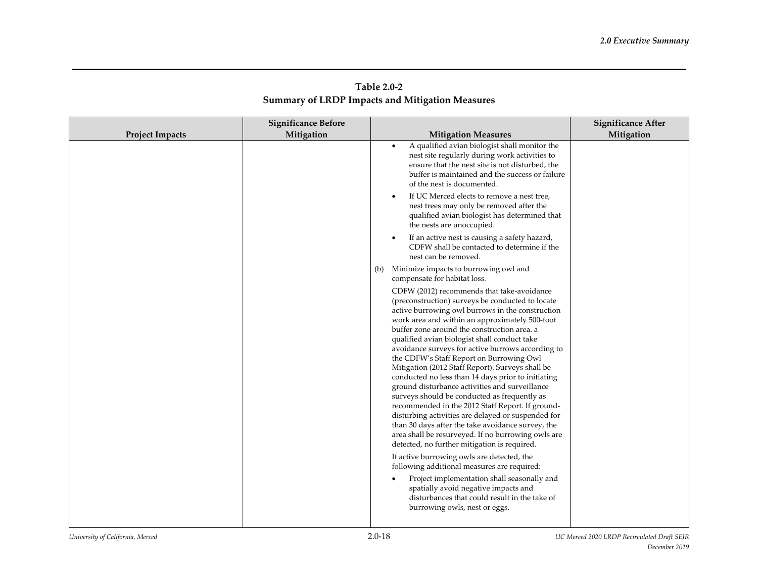| Table 2.0-2                                     |  |
|-------------------------------------------------|--|
| Summary of LRDP Impacts and Mitigation Measures |  |

|                        | <b>Significance Before</b> |                                                                                                                                                                                                                                                                                                                                                                                                                                                                                                                                                                                                                                                                                                                                                                                                                                                                                       | <b>Significance After</b> |
|------------------------|----------------------------|---------------------------------------------------------------------------------------------------------------------------------------------------------------------------------------------------------------------------------------------------------------------------------------------------------------------------------------------------------------------------------------------------------------------------------------------------------------------------------------------------------------------------------------------------------------------------------------------------------------------------------------------------------------------------------------------------------------------------------------------------------------------------------------------------------------------------------------------------------------------------------------|---------------------------|
| <b>Project Impacts</b> | Mitigation                 | <b>Mitigation Measures</b>                                                                                                                                                                                                                                                                                                                                                                                                                                                                                                                                                                                                                                                                                                                                                                                                                                                            | Mitigation                |
|                        |                            | A qualified avian biologist shall monitor the<br>$\bullet$<br>nest site regularly during work activities to<br>ensure that the nest site is not disturbed, the<br>buffer is maintained and the success or failure<br>of the nest is documented.<br>If UC Merced elects to remove a nest tree,<br>$\bullet$                                                                                                                                                                                                                                                                                                                                                                                                                                                                                                                                                                            |                           |
|                        |                            | nest trees may only be removed after the<br>qualified avian biologist has determined that<br>the nests are unoccupied.                                                                                                                                                                                                                                                                                                                                                                                                                                                                                                                                                                                                                                                                                                                                                                |                           |
|                        |                            | If an active nest is causing a safety hazard,<br>$\bullet$<br>CDFW shall be contacted to determine if the<br>nest can be removed.                                                                                                                                                                                                                                                                                                                                                                                                                                                                                                                                                                                                                                                                                                                                                     |                           |
|                        |                            | Minimize impacts to burrowing owl and<br>(b)<br>compensate for habitat loss.                                                                                                                                                                                                                                                                                                                                                                                                                                                                                                                                                                                                                                                                                                                                                                                                          |                           |
|                        |                            | CDFW (2012) recommends that take-avoidance<br>(preconstruction) surveys be conducted to locate<br>active burrowing owl burrows in the construction<br>work area and within an approximately 500-foot<br>buffer zone around the construction area, a<br>qualified avian biologist shall conduct take<br>avoidance surveys for active burrows according to<br>the CDFW's Staff Report on Burrowing Owl<br>Mitigation (2012 Staff Report). Surveys shall be<br>conducted no less than 14 days prior to initiating<br>ground disturbance activities and surveillance<br>surveys should be conducted as frequently as<br>recommended in the 2012 Staff Report. If ground-<br>disturbing activities are delayed or suspended for<br>than 30 days after the take avoidance survey, the<br>area shall be resurveyed. If no burrowing owls are<br>detected, no further mitigation is required. |                           |
|                        |                            | If active burrowing owls are detected, the<br>following additional measures are required:<br>Project implementation shall seasonally and<br>spatially avoid negative impacts and<br>disturbances that could result in the take of<br>burrowing owls, nest or eggs.                                                                                                                                                                                                                                                                                                                                                                                                                                                                                                                                                                                                                    |                           |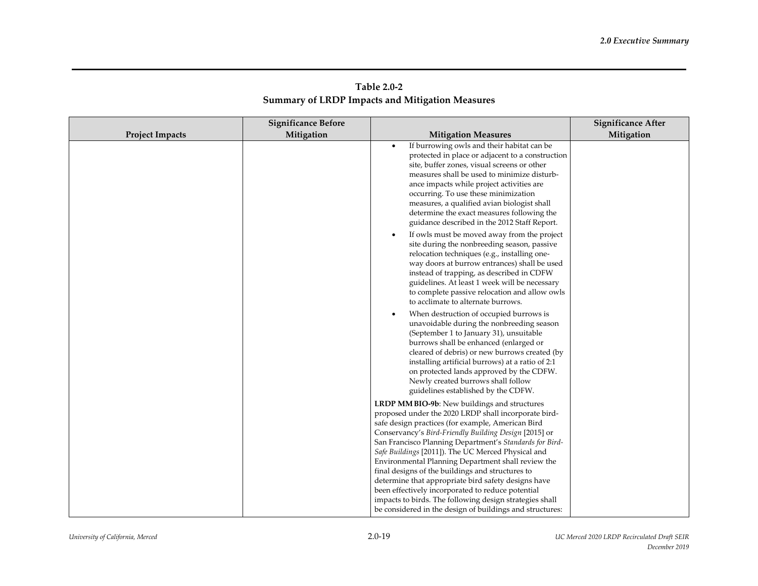| Table 2.0-2                                            |  |
|--------------------------------------------------------|--|
| <b>Summary of LRDP Impacts and Mitigation Measures</b> |  |

|                        | <b>Significance Before</b> |                                                                                                                                                                                                                                                                                                                                                                                                                                                                                                                                                                                                                                                                                  | <b>Significance After</b> |
|------------------------|----------------------------|----------------------------------------------------------------------------------------------------------------------------------------------------------------------------------------------------------------------------------------------------------------------------------------------------------------------------------------------------------------------------------------------------------------------------------------------------------------------------------------------------------------------------------------------------------------------------------------------------------------------------------------------------------------------------------|---------------------------|
| <b>Project Impacts</b> | Mitigation                 | <b>Mitigation Measures</b>                                                                                                                                                                                                                                                                                                                                                                                                                                                                                                                                                                                                                                                       | Mitigation                |
|                        |                            | If burrowing owls and their habitat can be<br>$\bullet$<br>protected in place or adjacent to a construction<br>site, buffer zones, visual screens or other<br>measures shall be used to minimize disturb-<br>ance impacts while project activities are<br>occurring. To use these minimization<br>measures, a qualified avian biologist shall<br>determine the exact measures following the<br>guidance described in the 2012 Staff Report.                                                                                                                                                                                                                                      |                           |
|                        |                            | If owls must be moved away from the project<br>$\bullet$<br>site during the nonbreeding season, passive<br>relocation techniques (e.g., installing one-<br>way doors at burrow entrances) shall be used<br>instead of trapping, as described in CDFW<br>guidelines. At least 1 week will be necessary<br>to complete passive relocation and allow owls<br>to acclimate to alternate burrows.                                                                                                                                                                                                                                                                                     |                           |
|                        |                            | When destruction of occupied burrows is<br>$\bullet$<br>unavoidable during the nonbreeding season<br>(September 1 to January 31), unsuitable<br>burrows shall be enhanced (enlarged or<br>cleared of debris) or new burrows created (by<br>installing artificial burrows) at a ratio of 2:1<br>on protected lands approved by the CDFW.<br>Newly created burrows shall follow<br>guidelines established by the CDFW.                                                                                                                                                                                                                                                             |                           |
|                        |                            | LRDP MM BIO-9b: New buildings and structures<br>proposed under the 2020 LRDP shall incorporate bird-<br>safe design practices (for example, American Bird<br>Conservancy's Bird-Friendly Building Design [2015] or<br>San Francisco Planning Department's Standards for Bird-<br>Safe Buildings [2011]). The UC Merced Physical and<br>Environmental Planning Department shall review the<br>final designs of the buildings and structures to<br>determine that appropriate bird safety designs have<br>been effectively incorporated to reduce potential<br>impacts to birds. The following design strategies shall<br>be considered in the design of buildings and structures: |                           |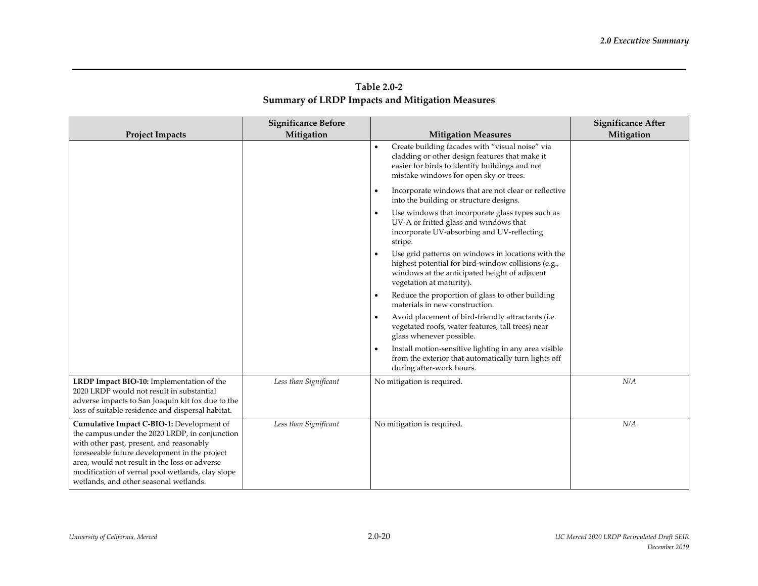| Table 2.0-2                                            |  |
|--------------------------------------------------------|--|
| <b>Summary of LRDP Impacts and Mitigation Measures</b> |  |

|                                                                                                                                                                                                                                                                                                                                         | <b>Significance Before</b> |                                                                                                                                                                                                            | <b>Significance After</b> |
|-----------------------------------------------------------------------------------------------------------------------------------------------------------------------------------------------------------------------------------------------------------------------------------------------------------------------------------------|----------------------------|------------------------------------------------------------------------------------------------------------------------------------------------------------------------------------------------------------|---------------------------|
| <b>Project Impacts</b>                                                                                                                                                                                                                                                                                                                  | Mitigation                 | <b>Mitigation Measures</b>                                                                                                                                                                                 | Mitigation                |
|                                                                                                                                                                                                                                                                                                                                         |                            | Create building facades with "visual noise" via<br>$\bullet$<br>cladding or other design features that make it<br>easier for birds to identify buildings and not<br>mistake windows for open sky or trees. |                           |
|                                                                                                                                                                                                                                                                                                                                         |                            | Incorporate windows that are not clear or reflective<br>into the building or structure designs.                                                                                                            |                           |
|                                                                                                                                                                                                                                                                                                                                         |                            | Use windows that incorporate glass types such as<br>$\bullet$<br>UV-A or fritted glass and windows that<br>incorporate UV-absorbing and UV-reflecting<br>stripe.                                           |                           |
|                                                                                                                                                                                                                                                                                                                                         |                            | Use grid patterns on windows in locations with the<br>highest potential for bird-window collisions (e.g.,<br>windows at the anticipated height of adjacent<br>vegetation at maturity).                     |                           |
|                                                                                                                                                                                                                                                                                                                                         |                            | Reduce the proportion of glass to other building<br>materials in new construction.                                                                                                                         |                           |
|                                                                                                                                                                                                                                                                                                                                         |                            | Avoid placement of bird-friendly attractants (i.e.<br>$\bullet$<br>vegetated roofs, water features, tall trees) near<br>glass whenever possible.                                                           |                           |
|                                                                                                                                                                                                                                                                                                                                         |                            | Install motion-sensitive lighting in any area visible<br>from the exterior that automatically turn lights off<br>during after-work hours.                                                                  |                           |
| LRDP Impact BIO-10: Implementation of the<br>2020 LRDP would not result in substantial<br>adverse impacts to San Joaquin kit fox due to the<br>loss of suitable residence and dispersal habitat.                                                                                                                                        | Less than Significant      | No mitigation is required.                                                                                                                                                                                 | N/A                       |
| Cumulative Impact C-BIO-1: Development of<br>the campus under the 2020 LRDP, in conjunction<br>with other past, present, and reasonably<br>foreseeable future development in the project<br>area, would not result in the loss or adverse<br>modification of vernal pool wetlands, clay slope<br>wetlands, and other seasonal wetlands. | Less than Significant      | No mitigation is required.                                                                                                                                                                                 | N/A                       |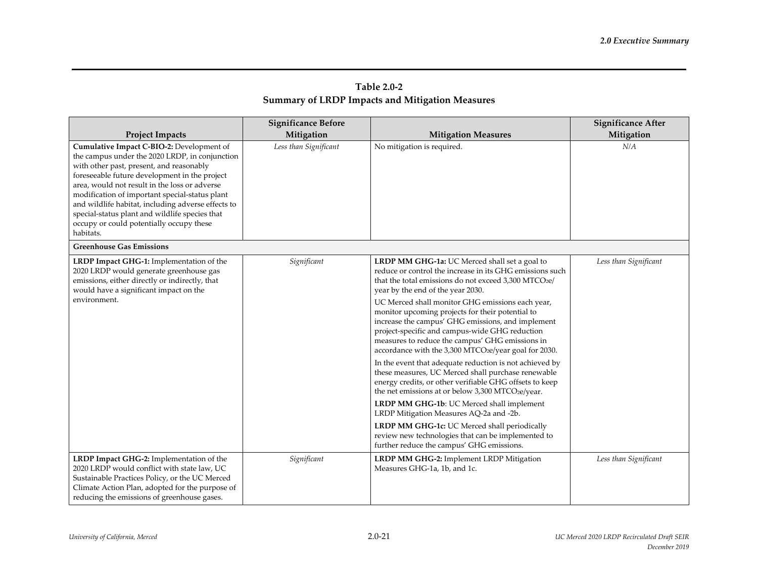| Table 2.0-2                                            |
|--------------------------------------------------------|
| <b>Summary of LRDP Impacts and Mitigation Measures</b> |

| <b>Project Impacts</b>                                                                                                                                                                                                                                                                                                                                                                                                                                       | <b>Significance Before</b><br>Mitigation | <b>Mitigation Measures</b>                                                                                                                                                                                                                                                                                                                                                                                                                                                                                                                                                                                                                                                                                                                                                                                                                                                                                                                                                                                  | <b>Significance After</b><br>Mitigation |
|--------------------------------------------------------------------------------------------------------------------------------------------------------------------------------------------------------------------------------------------------------------------------------------------------------------------------------------------------------------------------------------------------------------------------------------------------------------|------------------------------------------|-------------------------------------------------------------------------------------------------------------------------------------------------------------------------------------------------------------------------------------------------------------------------------------------------------------------------------------------------------------------------------------------------------------------------------------------------------------------------------------------------------------------------------------------------------------------------------------------------------------------------------------------------------------------------------------------------------------------------------------------------------------------------------------------------------------------------------------------------------------------------------------------------------------------------------------------------------------------------------------------------------------|-----------------------------------------|
| Cumulative Impact C-BIO-2: Development of<br>the campus under the 2020 LRDP, in conjunction<br>with other past, present, and reasonably<br>foreseeable future development in the project<br>area, would not result in the loss or adverse<br>modification of important special-status plant<br>and wildlife habitat, including adverse effects to<br>special-status plant and wildlife species that<br>occupy or could potentially occupy these<br>habitats. | Less than Significant                    | No mitigation is required.                                                                                                                                                                                                                                                                                                                                                                                                                                                                                                                                                                                                                                                                                                                                                                                                                                                                                                                                                                                  | N/A                                     |
| <b>Greenhouse Gas Emissions</b>                                                                                                                                                                                                                                                                                                                                                                                                                              |                                          |                                                                                                                                                                                                                                                                                                                                                                                                                                                                                                                                                                                                                                                                                                                                                                                                                                                                                                                                                                                                             |                                         |
| LRDP Impact GHG-1: Implementation of the<br>2020 LRDP would generate greenhouse gas<br>emissions, either directly or indirectly, that<br>would have a significant impact on the<br>environment.                                                                                                                                                                                                                                                              | Significant                              | LRDP MM GHG-1a: UC Merced shall set a goal to<br>reduce or control the increase in its GHG emissions such<br>that the total emissions do not exceed 3,300 MTCO2e/<br>year by the end of the year 2030.<br>UC Merced shall monitor GHG emissions each year,<br>monitor upcoming projects for their potential to<br>increase the campus' GHG emissions, and implement<br>project-specific and campus-wide GHG reduction<br>measures to reduce the campus' GHG emissions in<br>accordance with the 3,300 MTCO2e/year goal for 2030.<br>In the event that adequate reduction is not achieved by<br>these measures, UC Merced shall purchase renewable<br>energy credits, or other verifiable GHG offsets to keep<br>the net emissions at or below 3,300 MTCO2e/year.<br>LRDP MM GHG-1b: UC Merced shall implement<br>LRDP Mitigation Measures AQ-2a and -2b.<br>LRDP MM GHG-1c: UC Merced shall periodically<br>review new technologies that can be implemented to<br>further reduce the campus' GHG emissions. | Less than Significant                   |
| LRDP Impact GHG-2: Implementation of the<br>2020 LRDP would conflict with state law, UC<br>Sustainable Practices Policy, or the UC Merced<br>Climate Action Plan, adopted for the purpose of<br>reducing the emissions of greenhouse gases.                                                                                                                                                                                                                  | Significant                              | LRDP MM GHG-2: Implement LRDP Mitigation<br>Measures GHG-1a, 1b, and 1c.                                                                                                                                                                                                                                                                                                                                                                                                                                                                                                                                                                                                                                                                                                                                                                                                                                                                                                                                    | Less than Significant                   |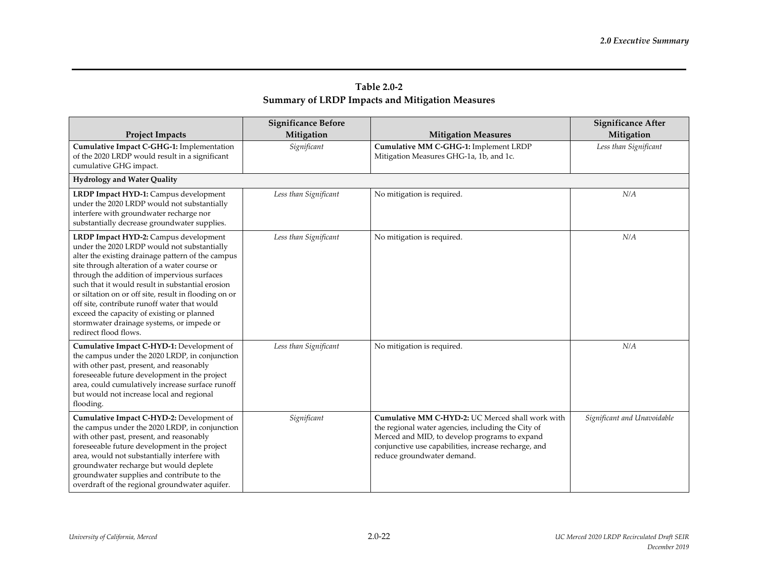| <b>Project Impacts</b>                                                                                                                                                                                                                                                                                                                                                                                                                                                                                                    | <b>Significance Before</b><br>Mitigation | <b>Mitigation Measures</b>                                                                                                                                                                                                                    | <b>Significance After</b><br>Mitigation |
|---------------------------------------------------------------------------------------------------------------------------------------------------------------------------------------------------------------------------------------------------------------------------------------------------------------------------------------------------------------------------------------------------------------------------------------------------------------------------------------------------------------------------|------------------------------------------|-----------------------------------------------------------------------------------------------------------------------------------------------------------------------------------------------------------------------------------------------|-----------------------------------------|
| Cumulative Impact C-GHG-1: Implementation<br>of the 2020 LRDP would result in a significant<br>cumulative GHG impact.                                                                                                                                                                                                                                                                                                                                                                                                     | Significant                              | Cumulative MM C-GHG-1: Implement LRDP<br>Mitigation Measures GHG-1a, 1b, and 1c.                                                                                                                                                              | Less than Significant                   |
| <b>Hydrology and Water Quality</b>                                                                                                                                                                                                                                                                                                                                                                                                                                                                                        |                                          |                                                                                                                                                                                                                                               |                                         |
| LRDP Impact HYD-1: Campus development<br>under the 2020 LRDP would not substantially<br>interfere with groundwater recharge nor<br>substantially decrease groundwater supplies.                                                                                                                                                                                                                                                                                                                                           | Less than Significant                    | No mitigation is required.                                                                                                                                                                                                                    | N/A                                     |
| LRDP Impact HYD-2: Campus development<br>under the 2020 LRDP would not substantially<br>alter the existing drainage pattern of the campus<br>site through alteration of a water course or<br>through the addition of impervious surfaces<br>such that it would result in substantial erosion<br>or siltation on or off site, result in flooding on or<br>off site, contribute runoff water that would<br>exceed the capacity of existing or planned<br>stormwater drainage systems, or impede or<br>redirect flood flows. | Less than Significant                    | No mitigation is required.                                                                                                                                                                                                                    | N/A                                     |
| Cumulative Impact C-HYD-1: Development of<br>the campus under the 2020 LRDP, in conjunction<br>with other past, present, and reasonably<br>foreseeable future development in the project<br>area, could cumulatively increase surface runoff<br>but would not increase local and regional<br>flooding.                                                                                                                                                                                                                    | Less than Significant                    | No mitigation is required.                                                                                                                                                                                                                    | N/A                                     |
| Cumulative Impact C-HYD-2: Development of<br>the campus under the 2020 LRDP, in conjunction<br>with other past, present, and reasonably<br>foreseeable future development in the project<br>area, would not substantially interfere with<br>groundwater recharge but would deplete<br>groundwater supplies and contribute to the<br>overdraft of the regional groundwater aquifer.                                                                                                                                        | Significant                              | Cumulative MM C-HYD-2: UC Merced shall work with<br>the regional water agencies, including the City of<br>Merced and MID, to develop programs to expand<br>conjunctive use capabilities, increase recharge, and<br>reduce groundwater demand. | Significant and Unavoidable             |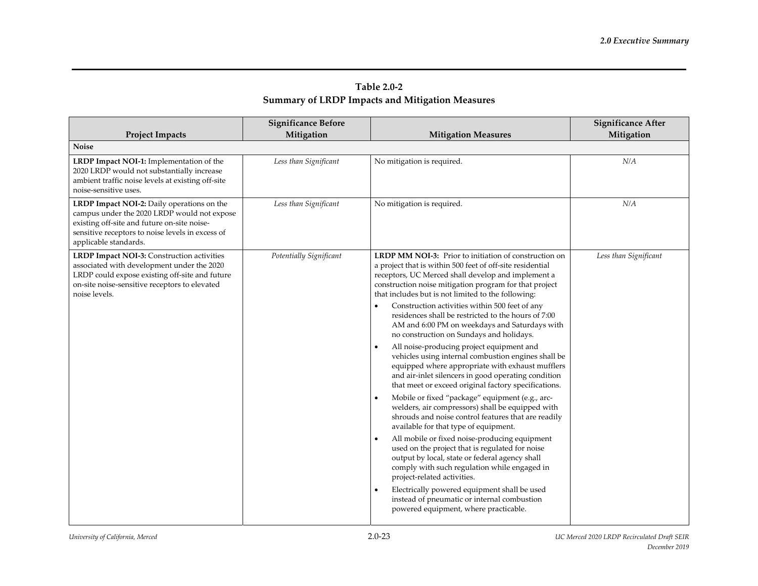|                                                                                                                                                                                                                       | <b>Significance Before</b> |                                                                                                                                                                                                                                                                                                                                                                                                                                                                                                                                                                                                                                                                                                                                                                                                                                                                                                                                                                                                                                                                                                                                                                                                                                                                                                                                                                  | <b>Significance After</b> |
|-----------------------------------------------------------------------------------------------------------------------------------------------------------------------------------------------------------------------|----------------------------|------------------------------------------------------------------------------------------------------------------------------------------------------------------------------------------------------------------------------------------------------------------------------------------------------------------------------------------------------------------------------------------------------------------------------------------------------------------------------------------------------------------------------------------------------------------------------------------------------------------------------------------------------------------------------------------------------------------------------------------------------------------------------------------------------------------------------------------------------------------------------------------------------------------------------------------------------------------------------------------------------------------------------------------------------------------------------------------------------------------------------------------------------------------------------------------------------------------------------------------------------------------------------------------------------------------------------------------------------------------|---------------------------|
| <b>Project Impacts</b>                                                                                                                                                                                                | Mitigation                 | <b>Mitigation Measures</b>                                                                                                                                                                                                                                                                                                                                                                                                                                                                                                                                                                                                                                                                                                                                                                                                                                                                                                                                                                                                                                                                                                                                                                                                                                                                                                                                       | Mitigation                |
| <b>Noise</b>                                                                                                                                                                                                          |                            |                                                                                                                                                                                                                                                                                                                                                                                                                                                                                                                                                                                                                                                                                                                                                                                                                                                                                                                                                                                                                                                                                                                                                                                                                                                                                                                                                                  |                           |
| LRDP Impact NOI-1: Implementation of the<br>2020 LRDP would not substantially increase<br>ambient traffic noise levels at existing off-site<br>noise-sensitive uses.                                                  | Less than Significant      | No mitigation is required.                                                                                                                                                                                                                                                                                                                                                                                                                                                                                                                                                                                                                                                                                                                                                                                                                                                                                                                                                                                                                                                                                                                                                                                                                                                                                                                                       | N/A                       |
| LRDP Impact NOI-2: Daily operations on the<br>campus under the 2020 LRDP would not expose<br>existing off-site and future on-site noise-<br>sensitive receptors to noise levels in excess of<br>applicable standards. | Less than Significant      | No mitigation is required.                                                                                                                                                                                                                                                                                                                                                                                                                                                                                                                                                                                                                                                                                                                                                                                                                                                                                                                                                                                                                                                                                                                                                                                                                                                                                                                                       | N/A                       |
| LRDP Impact NOI-3: Construction activities<br>associated with development under the 2020<br>LRDP could expose existing off-site and future<br>on-site noise-sensitive receptors to elevated<br>noise levels.          | Potentially Significant    | <b>LRDP MM NOI-3:</b> Prior to initiation of construction on<br>a project that is within 500 feet of off-site residential<br>receptors, UC Merced shall develop and implement a<br>construction noise mitigation program for that project<br>that includes but is not limited to the following:<br>Construction activities within 500 feet of any<br>residences shall be restricted to the hours of 7:00<br>AM and 6:00 PM on weekdays and Saturdays with<br>no construction on Sundays and holidays.<br>All noise-producing project equipment and<br>vehicles using internal combustion engines shall be<br>equipped where appropriate with exhaust mufflers<br>and air-inlet silencers in good operating condition<br>that meet or exceed original factory specifications.<br>Mobile or fixed "package" equipment (e.g., arc-<br>welders, air compressors) shall be equipped with<br>shrouds and noise control features that are readily<br>available for that type of equipment.<br>All mobile or fixed noise-producing equipment<br>used on the project that is regulated for noise<br>output by local, state or federal agency shall<br>comply with such regulation while engaged in<br>project-related activities.<br>Electrically powered equipment shall be used<br>instead of pneumatic or internal combustion<br>powered equipment, where practicable. | Less than Significant     |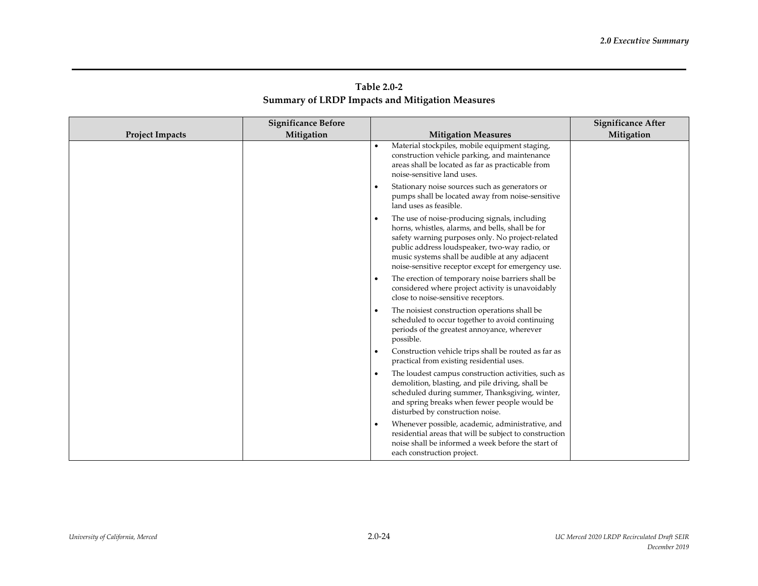| Table 2.0-2                                            |  |
|--------------------------------------------------------|--|
| <b>Summary of LRDP Impacts and Mitigation Measures</b> |  |

|                        | <b>Significance Before</b> |                                                                                                                                                                                                                                                                                                                | <b>Significance After</b> |
|------------------------|----------------------------|----------------------------------------------------------------------------------------------------------------------------------------------------------------------------------------------------------------------------------------------------------------------------------------------------------------|---------------------------|
| <b>Project Impacts</b> | Mitigation                 | <b>Mitigation Measures</b>                                                                                                                                                                                                                                                                                     | Mitigation                |
|                        |                            | Material stockpiles, mobile equipment staging,<br>$\bullet$<br>construction vehicle parking, and maintenance<br>areas shall be located as far as practicable from<br>noise-sensitive land uses.                                                                                                                |                           |
|                        |                            | Stationary noise sources such as generators or<br>pumps shall be located away from noise-sensitive<br>land uses as feasible.                                                                                                                                                                                   |                           |
|                        |                            | The use of noise-producing signals, including<br>horns, whistles, alarms, and bells, shall be for<br>safety warning purposes only. No project-related<br>public address loudspeaker, two-way radio, or<br>music systems shall be audible at any adjacent<br>noise-sensitive receptor except for emergency use. |                           |
|                        |                            | The erection of temporary noise barriers shall be<br>$\bullet$<br>considered where project activity is unavoidably<br>close to noise-sensitive receptors.                                                                                                                                                      |                           |
|                        |                            | The noisiest construction operations shall be<br>scheduled to occur together to avoid continuing<br>periods of the greatest annoyance, wherever<br>possible.                                                                                                                                                   |                           |
|                        |                            | Construction vehicle trips shall be routed as far as<br>٠<br>practical from existing residential uses.                                                                                                                                                                                                         |                           |
|                        |                            | The loudest campus construction activities, such as<br>demolition, blasting, and pile driving, shall be<br>scheduled during summer, Thanksgiving, winter,<br>and spring breaks when fewer people would be<br>disturbed by construction noise.                                                                  |                           |
|                        |                            | Whenever possible, academic, administrative, and<br>residential areas that will be subject to construction<br>noise shall be informed a week before the start of<br>each construction project.                                                                                                                 |                           |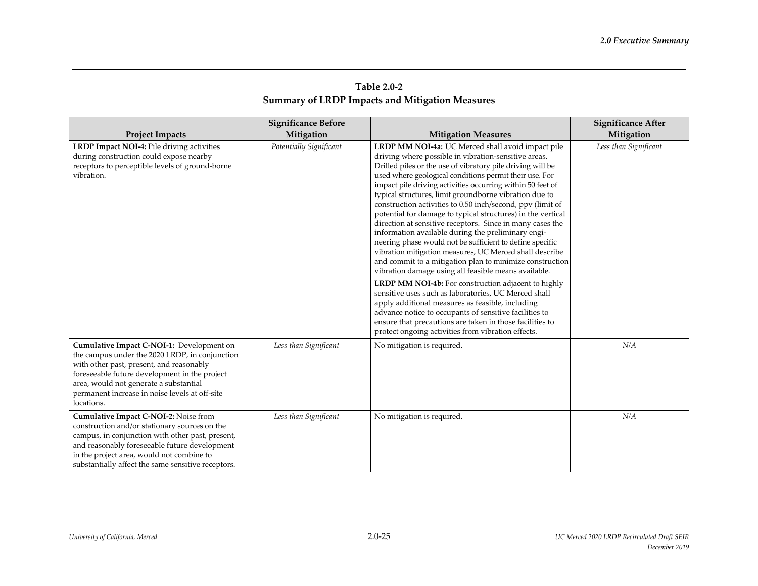| Table 2.0-2                                            |  |
|--------------------------------------------------------|--|
| <b>Summary of LRDP Impacts and Mitigation Measures</b> |  |

|                                                                                                                                                                                                                                                                                                    | <b>Significance Before</b> |                                                                                                                                                                                                                                                                                                                                                                                                                                                                                                                                                                                                                                                                                                                                                                                                                                                                                                                                                                                                                                                                                                                                                                                                            | <b>Significance After</b> |
|----------------------------------------------------------------------------------------------------------------------------------------------------------------------------------------------------------------------------------------------------------------------------------------------------|----------------------------|------------------------------------------------------------------------------------------------------------------------------------------------------------------------------------------------------------------------------------------------------------------------------------------------------------------------------------------------------------------------------------------------------------------------------------------------------------------------------------------------------------------------------------------------------------------------------------------------------------------------------------------------------------------------------------------------------------------------------------------------------------------------------------------------------------------------------------------------------------------------------------------------------------------------------------------------------------------------------------------------------------------------------------------------------------------------------------------------------------------------------------------------------------------------------------------------------------|---------------------------|
| <b>Project Impacts</b>                                                                                                                                                                                                                                                                             | Mitigation                 | <b>Mitigation Measures</b>                                                                                                                                                                                                                                                                                                                                                                                                                                                                                                                                                                                                                                                                                                                                                                                                                                                                                                                                                                                                                                                                                                                                                                                 | Mitigation                |
| LRDP Impact NOI-4: Pile driving activities<br>during construction could expose nearby<br>receptors to perceptible levels of ground-borne<br>vibration.                                                                                                                                             | Potentially Significant    | LRDP MM NOI-4a: UC Merced shall avoid impact pile<br>driving where possible in vibration-sensitive areas.<br>Drilled piles or the use of vibratory pile driving will be<br>used where geological conditions permit their use. For<br>impact pile driving activities occurring within 50 feet of<br>typical structures, limit groundborne vibration due to<br>construction activities to 0.50 inch/second, ppv (limit of<br>potential for damage to typical structures) in the vertical<br>direction at sensitive receptors. Since in many cases the<br>information available during the preliminary engi-<br>neering phase would not be sufficient to define specific<br>vibration mitigation measures, UC Merced shall describe<br>and commit to a mitigation plan to minimize construction<br>vibration damage using all feasible means available.<br><b>LRDP MM NOI-4b:</b> For construction adjacent to highly<br>sensitive uses such as laboratories, UC Merced shall<br>apply additional measures as feasible, including<br>advance notice to occupants of sensitive facilities to<br>ensure that precautions are taken in those facilities to<br>protect ongoing activities from vibration effects. | Less than Significant     |
| Cumulative Impact C-NOI-1: Development on<br>the campus under the 2020 LRDP, in conjunction<br>with other past, present, and reasonably<br>foreseeable future development in the project<br>area, would not generate a substantial<br>permanent increase in noise levels at off-site<br>locations. | Less than Significant      | No mitigation is required.                                                                                                                                                                                                                                                                                                                                                                                                                                                                                                                                                                                                                                                                                                                                                                                                                                                                                                                                                                                                                                                                                                                                                                                 | N/A                       |
| Cumulative Impact C-NOI-2: Noise from<br>construction and/or stationary sources on the<br>campus, in conjunction with other past, present,<br>and reasonably foreseeable future development<br>in the project area, would not combine to<br>substantially affect the same sensitive receptors.     | Less than Significant      | No mitigation is required.                                                                                                                                                                                                                                                                                                                                                                                                                                                                                                                                                                                                                                                                                                                                                                                                                                                                                                                                                                                                                                                                                                                                                                                 | N/A                       |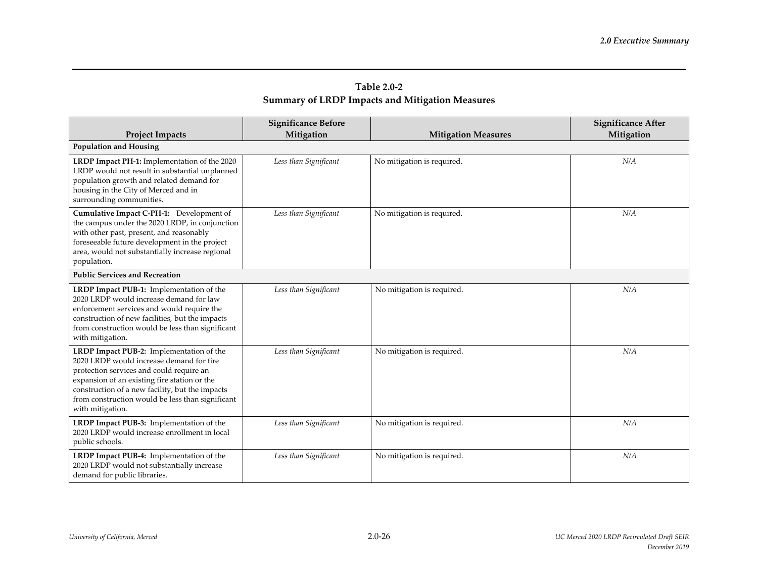|                                                                                                                                                                                                                                                                                                             | <b>Significance Before</b> |                            | <b>Significance After</b> |
|-------------------------------------------------------------------------------------------------------------------------------------------------------------------------------------------------------------------------------------------------------------------------------------------------------------|----------------------------|----------------------------|---------------------------|
| <b>Project Impacts</b><br><b>Population and Housing</b>                                                                                                                                                                                                                                                     | Mitigation                 | <b>Mitigation Measures</b> | Mitigation                |
|                                                                                                                                                                                                                                                                                                             |                            |                            | N/A                       |
| LRDP Impact PH-1: Implementation of the 2020<br>LRDP would not result in substantial unplanned<br>population growth and related demand for<br>housing in the City of Merced and in<br>surrounding communities.                                                                                              | Less than Significant      | No mitigation is required. |                           |
| Cumulative Impact C-PH-1: Development of<br>the campus under the 2020 LRDP, in conjunction<br>with other past, present, and reasonably<br>foreseeable future development in the project<br>area, would not substantially increase regional<br>population.                                                   | Less than Significant      | No mitigation is required. | N/A                       |
| <b>Public Services and Recreation</b>                                                                                                                                                                                                                                                                       |                            |                            |                           |
| LRDP Impact PUB-1: Implementation of the<br>2020 LRDP would increase demand for law<br>enforcement services and would require the<br>construction of new facilities, but the impacts<br>from construction would be less than significant<br>with mitigation.                                                | Less than Significant      | No mitigation is required. | N/A                       |
| LRDP Impact PUB-2: Implementation of the<br>2020 LRDP would increase demand for fire<br>protection services and could require an<br>expansion of an existing fire station or the<br>construction of a new facility, but the impacts<br>from construction would be less than significant<br>with mitigation. | Less than Significant      | No mitigation is required. | N/A                       |
| LRDP Impact PUB-3: Implementation of the<br>2020 LRDP would increase enrollment in local<br>public schools.                                                                                                                                                                                                 | Less than Significant      | No mitigation is required. | N/A                       |
| LRDP Impact PUB-4: Implementation of the<br>2020 LRDP would not substantially increase<br>demand for public libraries.                                                                                                                                                                                      | Less than Significant      | No mitigation is required. | N/A                       |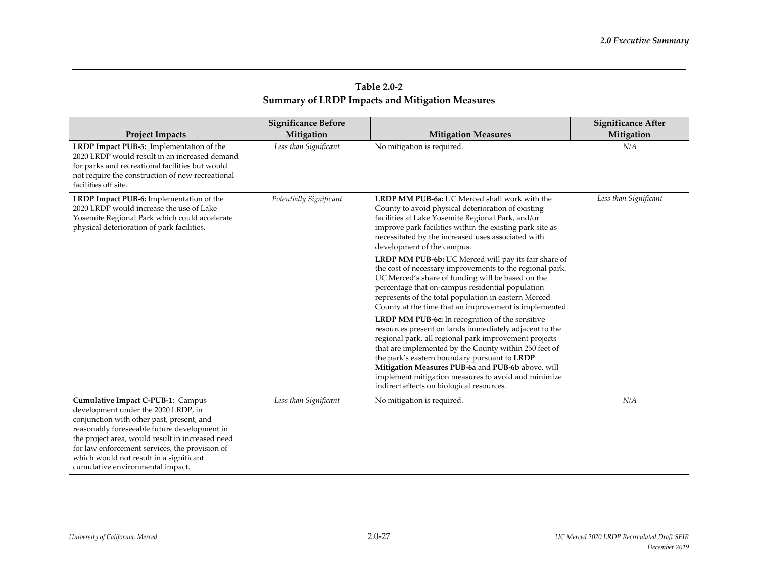| Table 2.0-2                                            |
|--------------------------------------------------------|
| <b>Summary of LRDP Impacts and Mitigation Measures</b> |

| <b>Project Impacts</b>                                                                                                                                                                                                                                                                                                                                     | <b>Significance Before</b><br>Mitigation | <b>Mitigation Measures</b>                                                                                                                                                                                                                                                                                                                                                                                                                                                                                                                                                                                                                                                                                                                                                                                                                                                                                                                                                                                                                                                                             | <b>Significance After</b><br>Mitigation |
|------------------------------------------------------------------------------------------------------------------------------------------------------------------------------------------------------------------------------------------------------------------------------------------------------------------------------------------------------------|------------------------------------------|--------------------------------------------------------------------------------------------------------------------------------------------------------------------------------------------------------------------------------------------------------------------------------------------------------------------------------------------------------------------------------------------------------------------------------------------------------------------------------------------------------------------------------------------------------------------------------------------------------------------------------------------------------------------------------------------------------------------------------------------------------------------------------------------------------------------------------------------------------------------------------------------------------------------------------------------------------------------------------------------------------------------------------------------------------------------------------------------------------|-----------------------------------------|
| LRDP Impact PUB-5: Implementation of the<br>2020 LRDP would result in an increased demand<br>for parks and recreational facilities but would<br>not require the construction of new recreational<br>facilities off site.                                                                                                                                   | Less than Significant                    | No mitigation is required.                                                                                                                                                                                                                                                                                                                                                                                                                                                                                                                                                                                                                                                                                                                                                                                                                                                                                                                                                                                                                                                                             | N/A                                     |
| LRDP Impact PUB-6: Implementation of the<br>2020 LRDP would increase the use of Lake<br>Yosemite Regional Park which could accelerate<br>physical deterioration of park facilities.                                                                                                                                                                        | Potentially Significant                  | <b>LRDP MM PUB-6a: UC Merced shall work with the</b><br>County to avoid physical deterioration of existing<br>facilities at Lake Yosemite Regional Park, and/or<br>improve park facilities within the existing park site as<br>necessitated by the increased uses associated with<br>development of the campus.<br>LRDP MM PUB-6b: UC Merced will pay its fair share of<br>the cost of necessary improvements to the regional park.<br>UC Merced's share of funding will be based on the<br>percentage that on-campus residential population<br>represents of the total population in eastern Merced<br>County at the time that an improvement is implemented.<br>LRDP MM PUB-6c: In recognition of the sensitive<br>resources present on lands immediately adjacent to the<br>regional park, all regional park improvement projects<br>that are implemented by the County within 250 feet of<br>the park's eastern boundary pursuant to LRDP<br>Mitigation Measures PUB-6a and PUB-6b above, will<br>implement mitigation measures to avoid and minimize<br>indirect effects on biological resources. | Less than Significant                   |
| Cumulative Impact C-PUB-1: Campus<br>development under the 2020 LRDP, in<br>conjunction with other past, present, and<br>reasonably foreseeable future development in<br>the project area, would result in increased need<br>for law enforcement services, the provision of<br>which would not result in a significant<br>cumulative environmental impact. | Less than Significant                    | No mitigation is required.                                                                                                                                                                                                                                                                                                                                                                                                                                                                                                                                                                                                                                                                                                                                                                                                                                                                                                                                                                                                                                                                             | N/A                                     |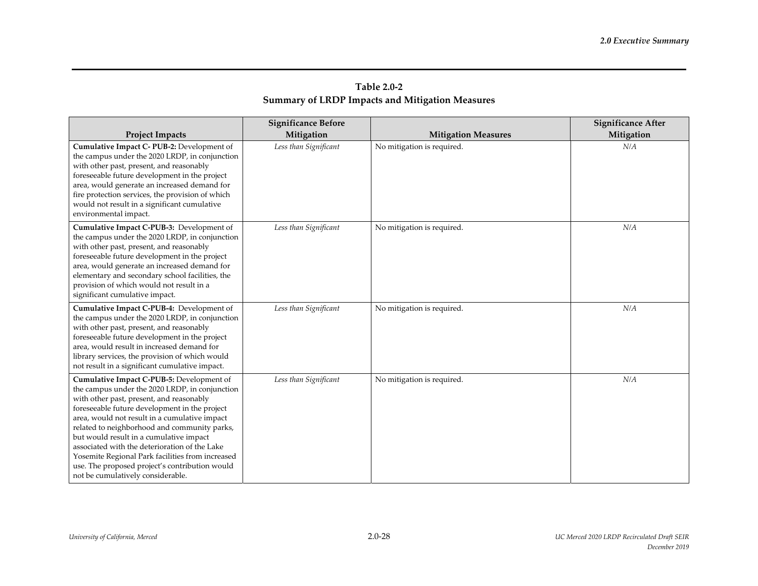| Table 2.0-2                                            |
|--------------------------------------------------------|
| <b>Summary of LRDP Impacts and Mitigation Measures</b> |

|                                                                                                                                                                                                                                                                                                                                                                                                                                                                                                                                  | <b>Significance Before</b> |                            | <b>Significance After</b> |
|----------------------------------------------------------------------------------------------------------------------------------------------------------------------------------------------------------------------------------------------------------------------------------------------------------------------------------------------------------------------------------------------------------------------------------------------------------------------------------------------------------------------------------|----------------------------|----------------------------|---------------------------|
| <b>Project Impacts</b>                                                                                                                                                                                                                                                                                                                                                                                                                                                                                                           | Mitigation                 | <b>Mitigation Measures</b> | Mitigation                |
| Cumulative Impact C-PUB-2: Development of<br>the campus under the 2020 LRDP, in conjunction<br>with other past, present, and reasonably<br>foreseeable future development in the project<br>area, would generate an increased demand for<br>fire protection services, the provision of which<br>would not result in a significant cumulative<br>environmental impact.                                                                                                                                                            | Less than Significant      | No mitigation is required. | N/A                       |
| Cumulative Impact C-PUB-3: Development of<br>the campus under the 2020 LRDP, in conjunction<br>with other past, present, and reasonably<br>foreseeable future development in the project<br>area, would generate an increased demand for<br>elementary and secondary school facilities, the<br>provision of which would not result in a<br>significant cumulative impact.                                                                                                                                                        | Less than Significant      | No mitigation is required. | N/A                       |
| Cumulative Impact C-PUB-4: Development of<br>the campus under the 2020 LRDP, in conjunction<br>with other past, present, and reasonably<br>foreseeable future development in the project<br>area, would result in increased demand for<br>library services, the provision of which would<br>not result in a significant cumulative impact.                                                                                                                                                                                       | Less than Significant      | No mitigation is required. | N/A                       |
| Cumulative Impact C-PUB-5: Development of<br>the campus under the 2020 LRDP, in conjunction<br>with other past, present, and reasonably<br>foreseeable future development in the project<br>area, would not result in a cumulative impact<br>related to neighborhood and community parks,<br>but would result in a cumulative impact<br>associated with the deterioration of the Lake<br>Yosemite Regional Park facilities from increased<br>use. The proposed project's contribution would<br>not be cumulatively considerable. | Less than Significant      | No mitigation is required. | N/A                       |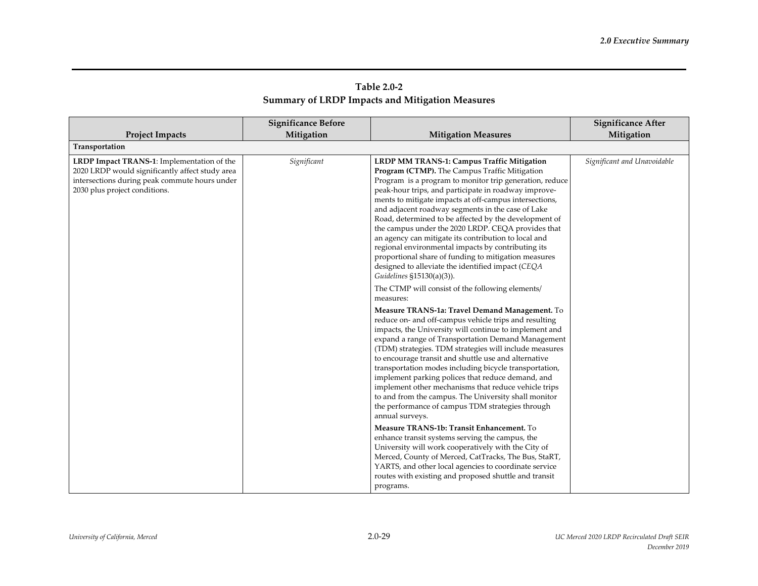| Table 2.0-2                                            |  |
|--------------------------------------------------------|--|
| <b>Summary of LRDP Impacts and Mitigation Measures</b> |  |

|                                                                                                                                                                                 | <b>Significance Before</b> |                                                                                                                                                                                                                                                                                                                                                                                                                                                                                                                                                                                                                                                                                                                                                                                                                         | <b>Significance After</b>   |
|---------------------------------------------------------------------------------------------------------------------------------------------------------------------------------|----------------------------|-------------------------------------------------------------------------------------------------------------------------------------------------------------------------------------------------------------------------------------------------------------------------------------------------------------------------------------------------------------------------------------------------------------------------------------------------------------------------------------------------------------------------------------------------------------------------------------------------------------------------------------------------------------------------------------------------------------------------------------------------------------------------------------------------------------------------|-----------------------------|
| <b>Project Impacts</b>                                                                                                                                                          | Mitigation                 | <b>Mitigation Measures</b>                                                                                                                                                                                                                                                                                                                                                                                                                                                                                                                                                                                                                                                                                                                                                                                              | Mitigation                  |
| Transportation                                                                                                                                                                  |                            |                                                                                                                                                                                                                                                                                                                                                                                                                                                                                                                                                                                                                                                                                                                                                                                                                         |                             |
| LRDP Impact TRANS-1: Implementation of the<br>2020 LRDP would significantly affect study area<br>intersections during peak commute hours under<br>2030 plus project conditions. | Significant                | LRDP MM TRANS-1: Campus Traffic Mitigation<br>Program (CTMP). The Campus Traffic Mitigation<br>Program is a program to monitor trip generation, reduce<br>peak-hour trips, and participate in roadway improve-<br>ments to mitigate impacts at off-campus intersections,<br>and adjacent roadway segments in the case of Lake<br>Road, determined to be affected by the development of<br>the campus under the 2020 LRDP. CEQA provides that<br>an agency can mitigate its contribution to local and<br>regional environmental impacts by contributing its<br>proportional share of funding to mitigation measures<br>designed to alleviate the identified impact (CEQA<br>Guidelines §15130(a)(3)).<br>The CTMP will consist of the following elements/<br>measures:<br>Measure TRANS-1a: Travel Demand Management. To | Significant and Unavoidable |
|                                                                                                                                                                                 |                            | reduce on- and off-campus vehicle trips and resulting<br>impacts, the University will continue to implement and<br>expand a range of Transportation Demand Management<br>(TDM) strategies. TDM strategies will include measures<br>to encourage transit and shuttle use and alternative<br>transportation modes including bicycle transportation,<br>implement parking polices that reduce demand, and<br>implement other mechanisms that reduce vehicle trips<br>to and from the campus. The University shall monitor<br>the performance of campus TDM strategies through<br>annual surveys.                                                                                                                                                                                                                           |                             |
|                                                                                                                                                                                 |                            | Measure TRANS-1b: Transit Enhancement. To<br>enhance transit systems serving the campus, the<br>University will work cooperatively with the City of<br>Merced, County of Merced, CatTracks, The Bus, StaRT,<br>YARTS, and other local agencies to coordinate service<br>routes with existing and proposed shuttle and transit<br>programs.                                                                                                                                                                                                                                                                                                                                                                                                                                                                              |                             |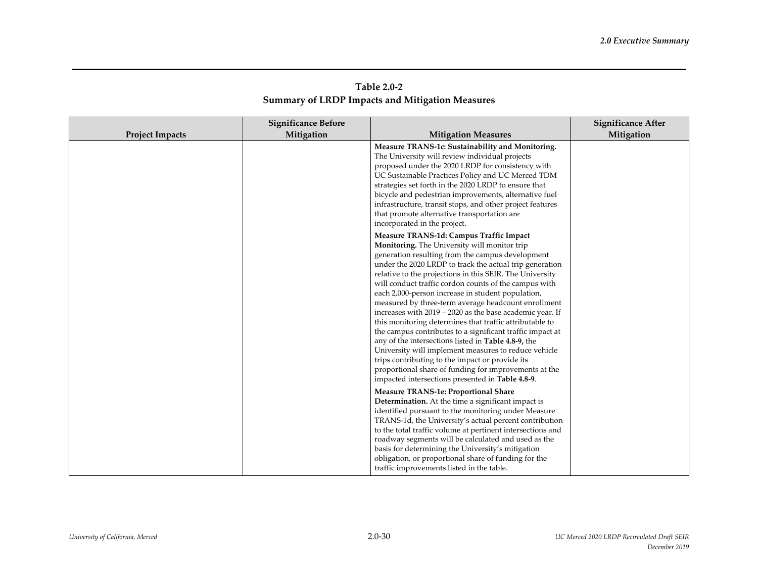| Table 2.0-2                                     |  |
|-------------------------------------------------|--|
| Summary of LRDP Impacts and Mitigation Measures |  |

|                        | <b>Significance Before</b> |                                                                                                                                                                                                                                                                                                                                                                                                                                                                                                                                                                                                                                                                                                                                                                                                                                                                                                            | Significance After |
|------------------------|----------------------------|------------------------------------------------------------------------------------------------------------------------------------------------------------------------------------------------------------------------------------------------------------------------------------------------------------------------------------------------------------------------------------------------------------------------------------------------------------------------------------------------------------------------------------------------------------------------------------------------------------------------------------------------------------------------------------------------------------------------------------------------------------------------------------------------------------------------------------------------------------------------------------------------------------|--------------------|
| <b>Project Impacts</b> | Mitigation                 | <b>Mitigation Measures</b>                                                                                                                                                                                                                                                                                                                                                                                                                                                                                                                                                                                                                                                                                                                                                                                                                                                                                 | Mitigation         |
|                        |                            | Measure TRANS-1c: Sustainability and Monitoring.<br>The University will review individual projects<br>proposed under the 2020 LRDP for consistency with<br>UC Sustainable Practices Policy and UC Merced TDM<br>strategies set forth in the 2020 LRDP to ensure that<br>bicycle and pedestrian improvements, alternative fuel<br>infrastructure, transit stops, and other project features<br>that promote alternative transportation are<br>incorporated in the project.                                                                                                                                                                                                                                                                                                                                                                                                                                  |                    |
|                        |                            | Measure TRANS-1d: Campus Traffic Impact<br>Monitoring. The University will monitor trip<br>generation resulting from the campus development<br>under the 2020 LRDP to track the actual trip generation<br>relative to the projections in this SEIR. The University<br>will conduct traffic cordon counts of the campus with<br>each 2,000-person increase in student population,<br>measured by three-term average headcount enrollment<br>increases with 2019 - 2020 as the base academic year. If<br>this monitoring determines that traffic attributable to<br>the campus contributes to a significant traffic impact at<br>any of the intersections listed in Table 4.8-9, the<br>University will implement measures to reduce vehicle<br>trips contributing to the impact or provide its<br>proportional share of funding for improvements at the<br>impacted intersections presented in Table 4.8-9. |                    |
|                        |                            | <b>Measure TRANS-1e: Proportional Share</b><br>Determination. At the time a significant impact is<br>identified pursuant to the monitoring under Measure<br>TRANS-1d, the University's actual percent contribution<br>to the total traffic volume at pertinent intersections and<br>roadway segments will be calculated and used as the<br>basis for determining the University's mitigation<br>obligation, or proportional share of funding for the<br>traffic improvements listed in the table.                                                                                                                                                                                                                                                                                                                                                                                                          |                    |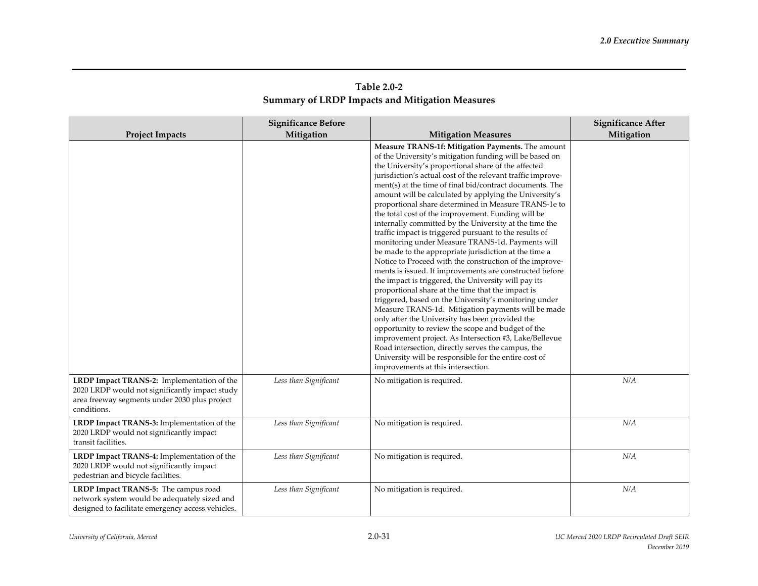| Table 2.0-2                                     |  |
|-------------------------------------------------|--|
| Summary of LRDP Impacts and Mitigation Measures |  |

|                                                                                                                                                              | <b>Significance Before</b> |                                                                                                                                                                                                                                                                                                                                                                                                                                                                                                                                                                                                                                                                                                                                                                                                                                                                                                                                                                                                                                                                                                                                                                                                                                                                                                                                                                                  | <b>Significance After</b> |
|--------------------------------------------------------------------------------------------------------------------------------------------------------------|----------------------------|----------------------------------------------------------------------------------------------------------------------------------------------------------------------------------------------------------------------------------------------------------------------------------------------------------------------------------------------------------------------------------------------------------------------------------------------------------------------------------------------------------------------------------------------------------------------------------------------------------------------------------------------------------------------------------------------------------------------------------------------------------------------------------------------------------------------------------------------------------------------------------------------------------------------------------------------------------------------------------------------------------------------------------------------------------------------------------------------------------------------------------------------------------------------------------------------------------------------------------------------------------------------------------------------------------------------------------------------------------------------------------|---------------------------|
| <b>Project Impacts</b>                                                                                                                                       | Mitigation                 | <b>Mitigation Measures</b>                                                                                                                                                                                                                                                                                                                                                                                                                                                                                                                                                                                                                                                                                                                                                                                                                                                                                                                                                                                                                                                                                                                                                                                                                                                                                                                                                       | Mitigation                |
|                                                                                                                                                              |                            | Measure TRANS-1f: Mitigation Payments. The amount<br>of the University's mitigation funding will be based on<br>the University's proportional share of the affected<br>jurisdiction's actual cost of the relevant traffic improve-<br>ment(s) at the time of final bid/contract documents. The<br>amount will be calculated by applying the University's<br>proportional share determined in Measure TRANS-1e to<br>the total cost of the improvement. Funding will be<br>internally committed by the University at the time the<br>traffic impact is triggered pursuant to the results of<br>monitoring under Measure TRANS-1d. Payments will<br>be made to the appropriate jurisdiction at the time a<br>Notice to Proceed with the construction of the improve-<br>ments is issued. If improvements are constructed before<br>the impact is triggered, the University will pay its<br>proportional share at the time that the impact is<br>triggered, based on the University's monitoring under<br>Measure TRANS-1d. Mitigation payments will be made<br>only after the University has been provided the<br>opportunity to review the scope and budget of the<br>improvement project. As Intersection #3, Lake/Bellevue<br>Road intersection, directly serves the campus, the<br>University will be responsible for the entire cost of<br>improvements at this intersection. |                           |
| LRDP Impact TRANS-2: Implementation of the<br>2020 LRDP would not significantly impact study<br>area freeway segments under 2030 plus project<br>conditions. | Less than Significant      | No mitigation is required.                                                                                                                                                                                                                                                                                                                                                                                                                                                                                                                                                                                                                                                                                                                                                                                                                                                                                                                                                                                                                                                                                                                                                                                                                                                                                                                                                       | N/A                       |
| LRDP Impact TRANS-3: Implementation of the<br>2020 LRDP would not significantly impact<br>transit facilities.                                                | Less than Significant      | No mitigation is required.                                                                                                                                                                                                                                                                                                                                                                                                                                                                                                                                                                                                                                                                                                                                                                                                                                                                                                                                                                                                                                                                                                                                                                                                                                                                                                                                                       | N/A                       |
| LRDP Impact TRANS-4: Implementation of the<br>2020 LRDP would not significantly impact<br>pedestrian and bicycle facilities.                                 | Less than Significant      | No mitigation is required.                                                                                                                                                                                                                                                                                                                                                                                                                                                                                                                                                                                                                                                                                                                                                                                                                                                                                                                                                                                                                                                                                                                                                                                                                                                                                                                                                       | N/A                       |
| LRDP Impact TRANS-5: The campus road<br>network system would be adequately sized and<br>designed to facilitate emergency access vehicles.                    | Less than Significant      | No mitigation is required.                                                                                                                                                                                                                                                                                                                                                                                                                                                                                                                                                                                                                                                                                                                                                                                                                                                                                                                                                                                                                                                                                                                                                                                                                                                                                                                                                       | N/A                       |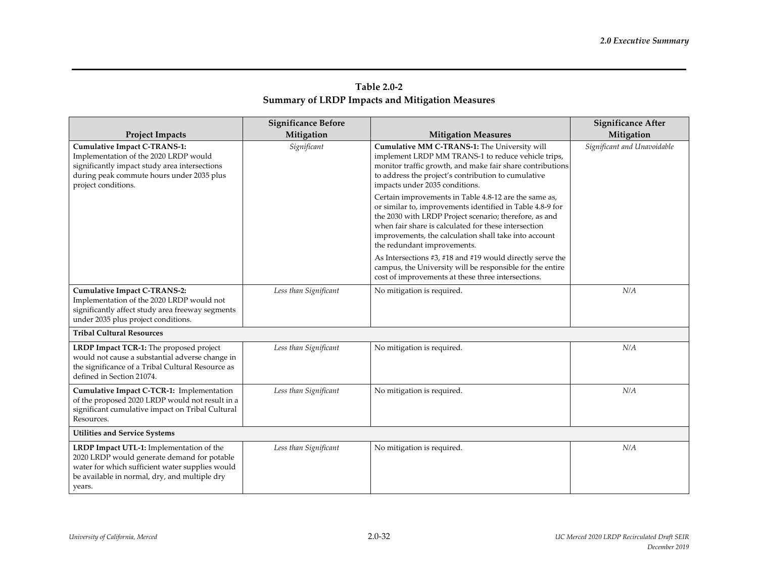| Table 2.0-2                                            |  |
|--------------------------------------------------------|--|
| <b>Summary of LRDP Impacts and Mitigation Measures</b> |  |

|                                                                                                                                                                                                       | <b>Significance Before</b> |                                                                                                                                                                                                                                                                                                                              | <b>Significance After</b>   |
|-------------------------------------------------------------------------------------------------------------------------------------------------------------------------------------------------------|----------------------------|------------------------------------------------------------------------------------------------------------------------------------------------------------------------------------------------------------------------------------------------------------------------------------------------------------------------------|-----------------------------|
| <b>Project Impacts</b>                                                                                                                                                                                | Mitigation                 | <b>Mitigation Measures</b>                                                                                                                                                                                                                                                                                                   | Mitigation                  |
| <b>Cumulative Impact C-TRANS-1:</b><br>Implementation of the 2020 LRDP would<br>significantly impact study area intersections<br>during peak commute hours under 2035 plus<br>project conditions.     | Significant                | Cumulative MM C-TRANS-1: The University will<br>implement LRDP MM TRANS-1 to reduce vehicle trips,<br>monitor traffic growth, and make fair share contributions<br>to address the project's contribution to cumulative<br>impacts under 2035 conditions.                                                                     | Significant and Unavoidable |
|                                                                                                                                                                                                       |                            | Certain improvements in Table 4.8-12 are the same as,<br>or similar to, improvements identified in Table 4.8-9 for<br>the 2030 with LRDP Project scenario; therefore, as and<br>when fair share is calculated for these intersection<br>improvements, the calculation shall take into account<br>the redundant improvements. |                             |
|                                                                                                                                                                                                       |                            | As Intersections #3, #18 and #19 would directly serve the<br>campus, the University will be responsible for the entire<br>cost of improvements at these three intersections.                                                                                                                                                 |                             |
| <b>Cumulative Impact C-TRANS-2:</b><br>Implementation of the 2020 LRDP would not<br>significantly affect study area freeway segments<br>under 2035 plus project conditions.                           | Less than Significant      | No mitigation is required.                                                                                                                                                                                                                                                                                                   | N/A                         |
| <b>Tribal Cultural Resources</b>                                                                                                                                                                      |                            |                                                                                                                                                                                                                                                                                                                              |                             |
| LRDP Impact TCR-1: The proposed project<br>would not cause a substantial adverse change in<br>the significance of a Tribal Cultural Resource as<br>defined in Section 21074.                          | Less than Significant      | No mitigation is required.                                                                                                                                                                                                                                                                                                   | N/A                         |
| Cumulative Impact C-TCR-1: Implementation<br>of the proposed 2020 LRDP would not result in a<br>significant cumulative impact on Tribal Cultural<br>Resources.                                        | Less than Significant      | No mitigation is required.                                                                                                                                                                                                                                                                                                   | N/A                         |
| <b>Utilities and Service Systems</b>                                                                                                                                                                  |                            |                                                                                                                                                                                                                                                                                                                              |                             |
| LRDP Impact UTL-1: Implementation of the<br>2020 LRDP would generate demand for potable<br>water for which sufficient water supplies would<br>be available in normal, dry, and multiple dry<br>years. | Less than Significant      | No mitigation is required.                                                                                                                                                                                                                                                                                                   | N/A                         |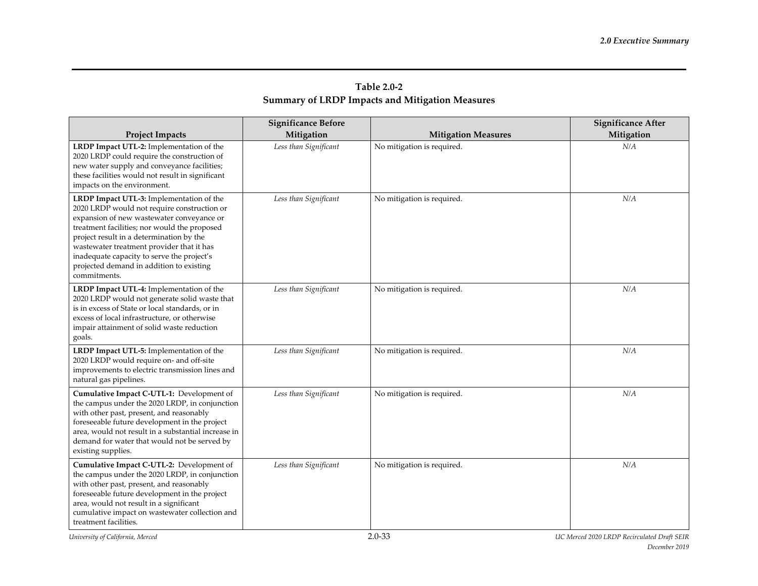|                                                                                                                                                                                                                                                                                                                                                                                         | <b>Significance Before</b> |                            | <b>Significance After</b> |
|-----------------------------------------------------------------------------------------------------------------------------------------------------------------------------------------------------------------------------------------------------------------------------------------------------------------------------------------------------------------------------------------|----------------------------|----------------------------|---------------------------|
| <b>Project Impacts</b>                                                                                                                                                                                                                                                                                                                                                                  | Mitigation                 | <b>Mitigation Measures</b> | Mitigation                |
| LRDP Impact UTL-2: Implementation of the<br>2020 LRDP could require the construction of<br>new water supply and conveyance facilities;<br>these facilities would not result in significant<br>impacts on the environment.                                                                                                                                                               | Less than Significant      | No mitigation is required. | N/A                       |
| LRDP Impact UTL-3: Implementation of the<br>2020 LRDP would not require construction or<br>expansion of new wastewater conveyance or<br>treatment facilities; nor would the proposed<br>project result in a determination by the<br>wastewater treatment provider that it has<br>inadequate capacity to serve the project's<br>projected demand in addition to existing<br>commitments. | Less than Significant      | No mitigation is required. | N/A                       |
| LRDP Impact UTL-4: Implementation of the<br>2020 LRDP would not generate solid waste that<br>is in excess of State or local standards, or in<br>excess of local infrastructure, or otherwise<br>impair attainment of solid waste reduction<br>goals.                                                                                                                                    | Less than Significant      | No mitigation is required. | N/A                       |
| LRDP Impact UTL-5: Implementation of the<br>2020 LRDP would require on- and off-site<br>improvements to electric transmission lines and<br>natural gas pipelines.                                                                                                                                                                                                                       | Less than Significant      | No mitigation is required. | N/A                       |
| Cumulative Impact C-UTL-1: Development of<br>the campus under the 2020 LRDP, in conjunction<br>with other past, present, and reasonably<br>foreseeable future development in the project<br>area, would not result in a substantial increase in<br>demand for water that would not be served by<br>existing supplies.                                                                   | Less than Significant      | No mitigation is required. | N/A                       |
| Cumulative Impact C-UTL-2: Development of<br>the campus under the 2020 LRDP, in conjunction<br>with other past, present, and reasonably<br>foreseeable future development in the project<br>area, would not result in a significant<br>cumulative impact on wastewater collection and<br>treatment facilities.                                                                          | Less than Significant      | No mitigation is required. | N/A                       |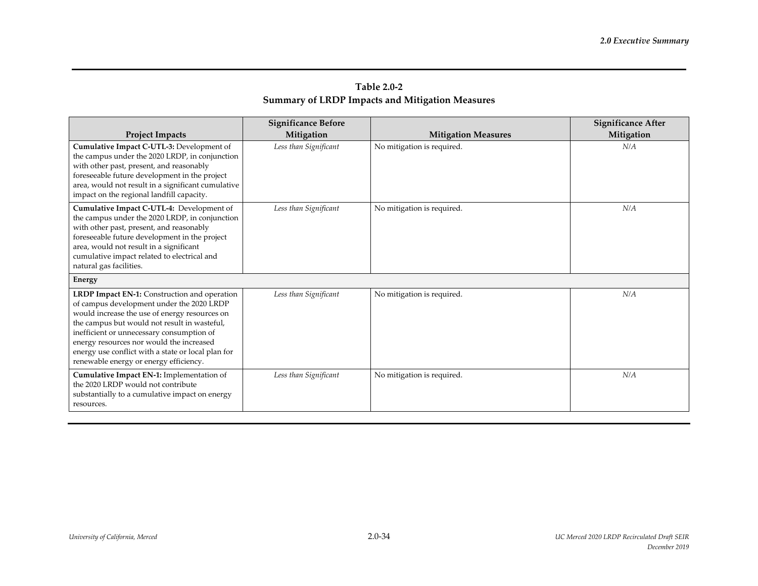| Table 2.0-2                                            |  |
|--------------------------------------------------------|--|
| <b>Summary of LRDP Impacts and Mitigation Measures</b> |  |

|                                                                                                                                                                                                                                                                                                                                                                                            | <b>Significance Before</b> |                            | <b>Significance After</b> |
|--------------------------------------------------------------------------------------------------------------------------------------------------------------------------------------------------------------------------------------------------------------------------------------------------------------------------------------------------------------------------------------------|----------------------------|----------------------------|---------------------------|
| <b>Project Impacts</b>                                                                                                                                                                                                                                                                                                                                                                     | Mitigation                 | <b>Mitigation Measures</b> | Mitigation                |
| Cumulative Impact C-UTL-3: Development of<br>the campus under the 2020 LRDP, in conjunction<br>with other past, present, and reasonably<br>foreseeable future development in the project<br>area, would not result in a significant cumulative<br>impact on the regional landfill capacity.                                                                                                | Less than Significant      | No mitigation is required. | N/A                       |
| Cumulative Impact C-UTL-4: Development of<br>the campus under the 2020 LRDP, in conjunction<br>with other past, present, and reasonably<br>foreseeable future development in the project<br>area, would not result in a significant<br>cumulative impact related to electrical and<br>natural gas facilities.                                                                              | Less than Significant      | No mitigation is required. | N/A                       |
| <b>Energy</b>                                                                                                                                                                                                                                                                                                                                                                              |                            |                            |                           |
| <b>LRDP Impact EN-1:</b> Construction and operation<br>of campus development under the 2020 LRDP<br>would increase the use of energy resources on<br>the campus but would not result in wasteful,<br>inefficient or unnecessary consumption of<br>energy resources nor would the increased<br>energy use conflict with a state or local plan for<br>renewable energy or energy efficiency. | Less than Significant      | No mitigation is required. | N/A                       |
| Cumulative Impact EN-1: Implementation of<br>the 2020 LRDP would not contribute<br>substantially to a cumulative impact on energy<br>resources.                                                                                                                                                                                                                                            | Less than Significant      | No mitigation is required. | N/A                       |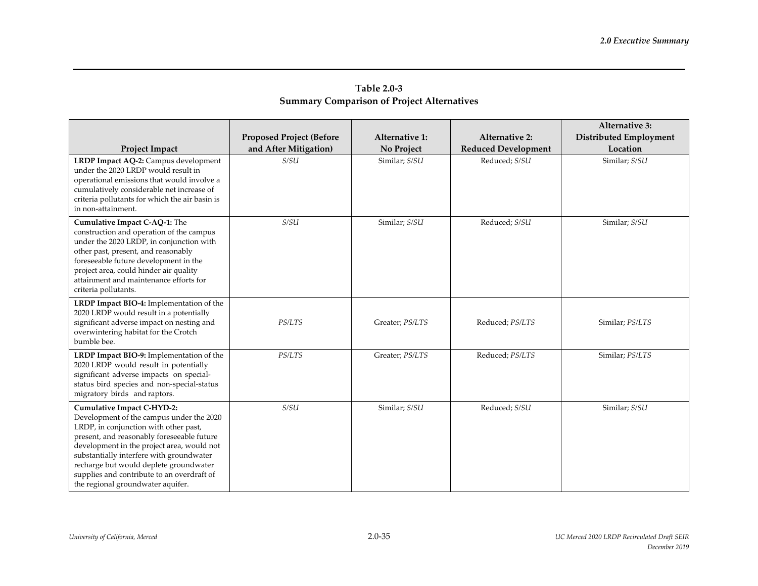| <b>Table 2.0-3</b>                                |
|---------------------------------------------------|
| <b>Summary Comparison of Project Alternatives</b> |

|                                                                                                                                                                                                                                                                                                                                                                                             |                                 |                       |                            | <b>Alternative 3:</b>         |
|---------------------------------------------------------------------------------------------------------------------------------------------------------------------------------------------------------------------------------------------------------------------------------------------------------------------------------------------------------------------------------------------|---------------------------------|-----------------------|----------------------------|-------------------------------|
|                                                                                                                                                                                                                                                                                                                                                                                             | <b>Proposed Project (Before</b> | <b>Alternative 1:</b> | <b>Alternative 2:</b>      | <b>Distributed Employment</b> |
| Project Impact                                                                                                                                                                                                                                                                                                                                                                              | and After Mitigation)           | No Project            | <b>Reduced Development</b> | Location                      |
| LRDP Impact AQ-2: Campus development<br>under the 2020 LRDP would result in<br>operational emissions that would involve a<br>cumulatively considerable net increase of<br>criteria pollutants for which the air basin is<br>in non-attainment.                                                                                                                                              | S/SU                            | Similar; S/SU         | Reduced; S/SU              | Similar; S/SU                 |
| Cumulative Impact C-AQ-1: The<br>construction and operation of the campus<br>under the 2020 LRDP, in conjunction with<br>other past, present, and reasonably<br>foreseeable future development in the<br>project area, could hinder air quality<br>attainment and maintenance efforts for<br>criteria pollutants.                                                                           | S/SU                            | Similar; S/SU         | Reduced; S/SU              | Similar; S/SU                 |
| LRDP Impact BIO-4: Implementation of the<br>2020 LRDP would result in a potentially<br>significant adverse impact on nesting and<br>overwintering habitat for the Crotch<br>bumble bee.                                                                                                                                                                                                     | <i>PS/LTS</i>                   | Greater; PS/LTS       | Reduced; PS/LTS            | Similar; PS/LTS               |
| LRDP Impact BIO-9: Implementation of the<br>2020 LRDP would result in potentially<br>significant adverse impacts on special-<br>status bird species and non-special-status<br>migratory birds and raptors.                                                                                                                                                                                  | <b>PS/LTS</b>                   | Greater; PS/LTS       | Reduced; PS/LTS            | Similar; PS/LTS               |
| <b>Cumulative Impact C-HYD-2:</b><br>Development of the campus under the 2020<br>LRDP, in conjunction with other past,<br>present, and reasonably foreseeable future<br>development in the project area, would not<br>substantially interfere with groundwater<br>recharge but would deplete groundwater<br>supplies and contribute to an overdraft of<br>the regional groundwater aquifer. | S/SU                            | Similar; S/SU         | Reduced; S/SU              | Similar; S/SU                 |